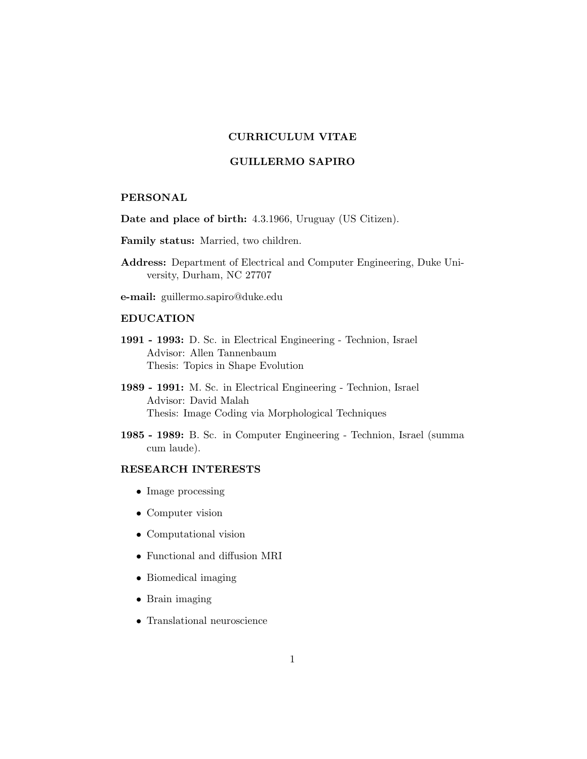# CURRICULUM VITAE

## GUILLERMO SAPIRO

#### PERSONAL

Date and place of birth: 4.3.1966, Uruguay (US Citizen).

- Family status: Married, two children.
- Address: Department of Electrical and Computer Engineering, Duke University, Durham, NC 27707
- e-mail: guillermo.sapiro@duke.edu

#### EDUCATION

- 1991 1993: D. Sc. in Electrical Engineering Technion, Israel Advisor: Allen Tannenbaum Thesis: Topics in Shape Evolution
- 1989 1991: M. Sc. in Electrical Engineering Technion, Israel Advisor: David Malah Thesis: Image Coding via Morphological Techniques
- 1985 1989: B. Sc. in Computer Engineering Technion, Israel (summa cum laude).

## RESEARCH INTERESTS

- Image processing
- Computer vision
- Computational vision
- Functional and diffusion MRI
- Biomedical imaging
- Brain imaging
- Translational neuroscience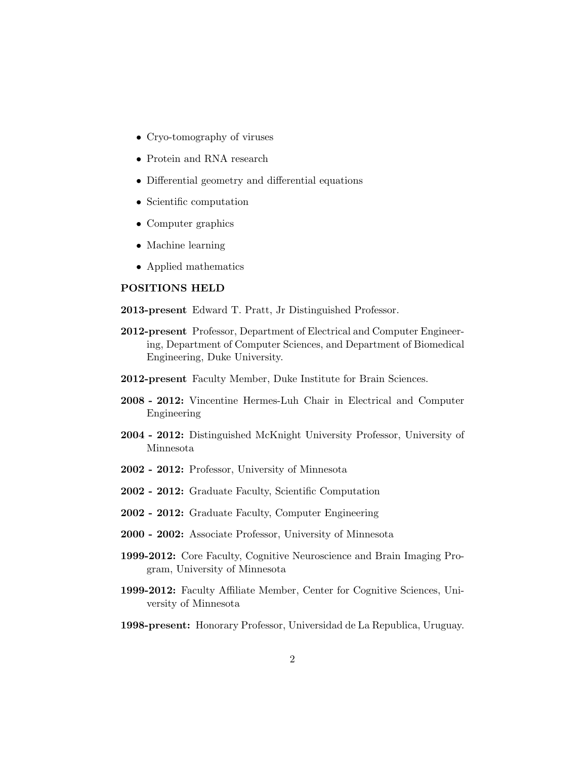- Cryo-tomography of viruses
- Protein and RNA research
- Differential geometry and differential equations
- Scientific computation
- Computer graphics
- Machine learning
- Applied mathematics

## POSITIONS HELD

2013-present Edward T. Pratt, Jr Distinguished Professor.

- 2012-present Professor, Department of Electrical and Computer Engineering, Department of Computer Sciences, and Department of Biomedical Engineering, Duke University.
- 2012-present Faculty Member, Duke Institute for Brain Sciences.
- 2008 2012: Vincentine Hermes-Luh Chair in Electrical and Computer Engineering
- 2004 2012: Distinguished McKnight University Professor, University of Minnesota
- 2002 2012: Professor, University of Minnesota
- 2002 2012: Graduate Faculty, Scientific Computation
- 2002 2012: Graduate Faculty, Computer Engineering
- 2000 2002: Associate Professor, University of Minnesota
- 1999-2012: Core Faculty, Cognitive Neuroscience and Brain Imaging Program, University of Minnesota
- 1999-2012: Faculty Affiliate Member, Center for Cognitive Sciences, University of Minnesota
- 1998-present: Honorary Professor, Universidad de La Republica, Uruguay.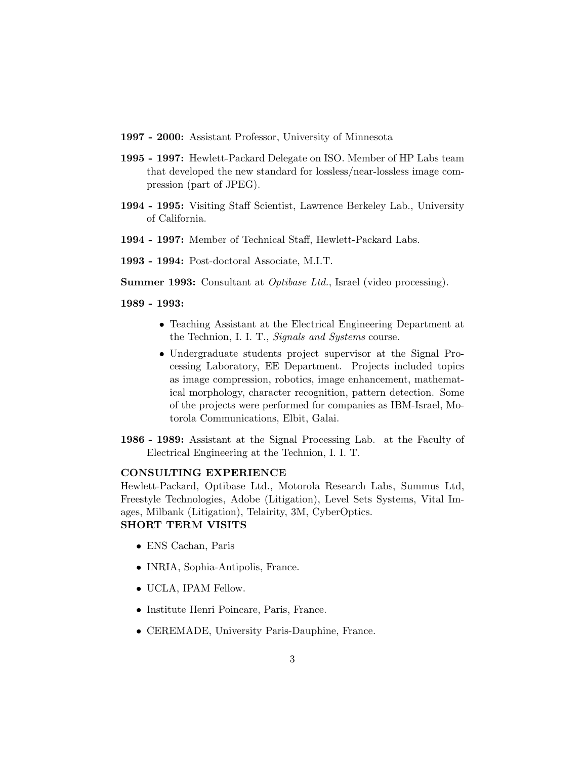- 1997 2000: Assistant Professor, University of Minnesota
- 1995 1997: Hewlett-Packard Delegate on ISO. Member of HP Labs team that developed the new standard for lossless/near-lossless image compression (part of JPEG).
- 1994 1995: Visiting Staff Scientist, Lawrence Berkeley Lab., University of California.
- 1994 1997: Member of Technical Staff, Hewlett-Packard Labs.
- 1993 1994: Post-doctoral Associate, M.I.T.

Summer 1993: Consultant at Optibase Ltd., Israel (video processing).

1989 - 1993:

- Teaching Assistant at the Electrical Engineering Department at the Technion, I. I. T., Signals and Systems course.
- Undergraduate students project supervisor at the Signal Processing Laboratory, EE Department. Projects included topics as image compression, robotics, image enhancement, mathematical morphology, character recognition, pattern detection. Some of the projects were performed for companies as IBM-Israel, Motorola Communications, Elbit, Galai.
- 1986 1989: Assistant at the Signal Processing Lab. at the Faculty of Electrical Engineering at the Technion, I. I. T.

#### CONSULTING EXPERIENCE

Hewlett-Packard, Optibase Ltd., Motorola Research Labs, Summus Ltd, Freestyle Technologies, Adobe (Litigation), Level Sets Systems, Vital Images, Milbank (Litigation), Telairity, 3M, CyberOptics. SHORT TERM VISITS

- ENS Cachan, Paris
- INRIA, Sophia-Antipolis, France.
- UCLA, IPAM Fellow.
- Institute Henri Poincare, Paris, France.
- CEREMADE, University Paris-Dauphine, France.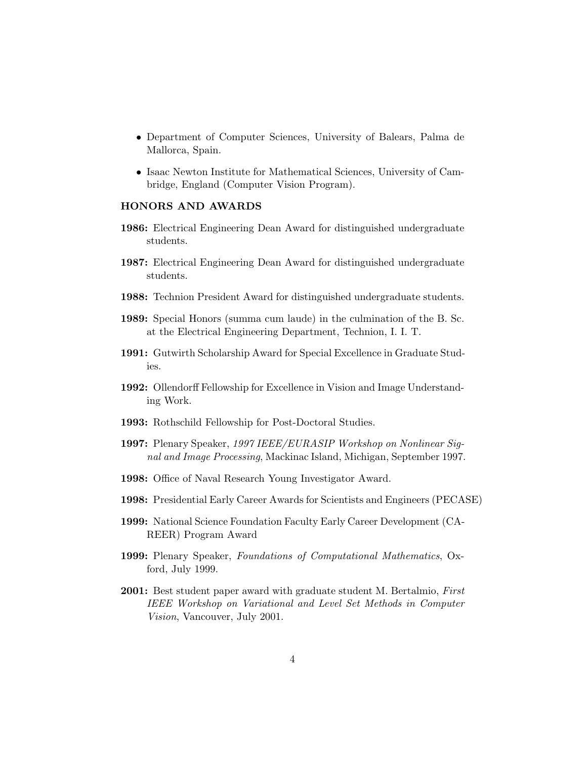- Department of Computer Sciences, University of Balears, Palma de Mallorca, Spain.
- Isaac Newton Institute for Mathematical Sciences, University of Cambridge, England (Computer Vision Program).

## HONORS AND AWARDS

- 1986: Electrical Engineering Dean Award for distinguished undergraduate students.
- 1987: Electrical Engineering Dean Award for distinguished undergraduate students.
- 1988: Technion President Award for distinguished undergraduate students.
- 1989: Special Honors (summa cum laude) in the culmination of the B. Sc. at the Electrical Engineering Department, Technion, I. I. T.
- 1991: Gutwirth Scholarship Award for Special Excellence in Graduate Studies.
- 1992: Ollendorff Fellowship for Excellence in Vision and Image Understanding Work.
- 1993: Rothschild Fellowship for Post-Doctoral Studies.
- 1997: Plenary Speaker, 1997 IEEE/EURASIP Workshop on Nonlinear Signal and Image Processing, Mackinac Island, Michigan, September 1997.
- 1998: Office of Naval Research Young Investigator Award.
- 1998: Presidential Early Career Awards for Scientists and Engineers (PECASE)
- 1999: National Science Foundation Faculty Early Career Development (CA-REER) Program Award
- 1999: Plenary Speaker, Foundations of Computational Mathematics, Oxford, July 1999.
- **2001:** Best student paper award with graduate student M. Bertalmio, First IEEE Workshop on Variational and Level Set Methods in Computer Vision, Vancouver, July 2001.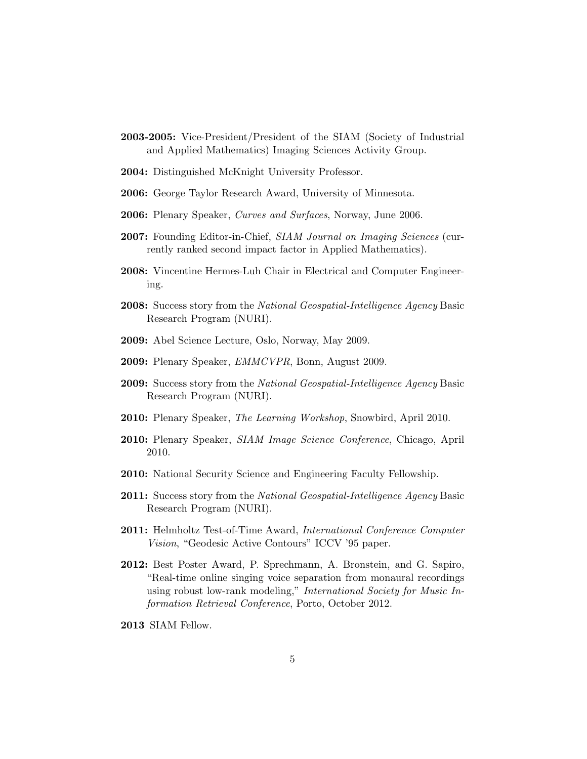- 2003-2005: Vice-President/President of the SIAM (Society of Industrial and Applied Mathematics) Imaging Sciences Activity Group.
- 2004: Distinguished McKnight University Professor.
- 2006: George Taylor Research Award, University of Minnesota.
- 2006: Plenary Speaker, Curves and Surfaces, Norway, June 2006.
- 2007: Founding Editor-in-Chief, SIAM Journal on Imaging Sciences (currently ranked second impact factor in Applied Mathematics).
- 2008: Vincentine Hermes-Luh Chair in Electrical and Computer Engineering.
- 2008: Success story from the National Geospatial-Intelligence Agency Basic Research Program (NURI).
- 2009: Abel Science Lecture, Oslo, Norway, May 2009.
- 2009: Plenary Speaker, EMMCVPR, Bonn, August 2009.
- **2009:** Success story from the *National Geospatial-Intelligence Agency* Basic Research Program (NURI).
- 2010: Plenary Speaker, The Learning Workshop, Snowbird, April 2010.
- 2010: Plenary Speaker, *SIAM Image Science Conference*, Chicago, April 2010.
- 2010: National Security Science and Engineering Faculty Fellowship.
- **2011:** Success story from the *National Geospatial-Intelligence Agency* Basic Research Program (NURI).
- 2011: Helmholtz Test-of-Time Award, International Conference Computer Vision, "Geodesic Active Contours" ICCV '95 paper.
- 2012: Best Poster Award, P. Sprechmann, A. Bronstein, and G. Sapiro, "Real-time online singing voice separation from monaural recordings using robust low-rank modeling," International Society for Music Information Retrieval Conference, Porto, October 2012.
- 2013 SIAM Fellow.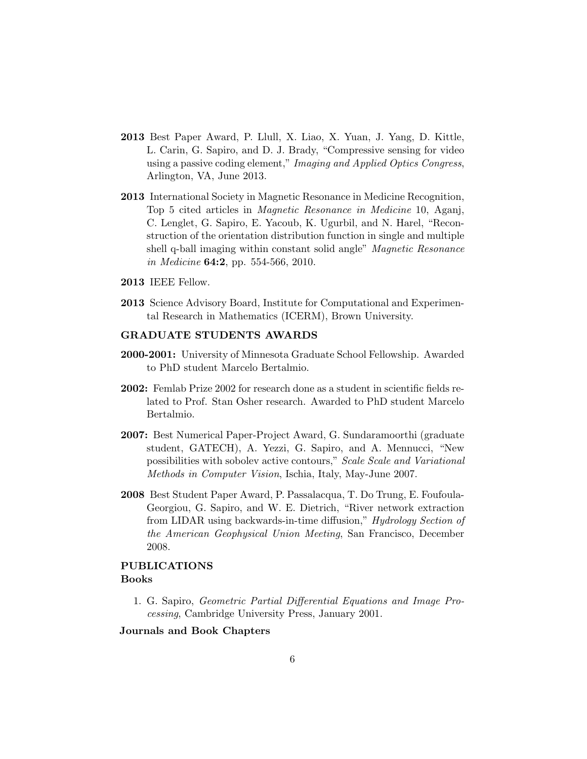- 2013 Best Paper Award, P. Llull, X. Liao, X. Yuan, J. Yang, D. Kittle, L. Carin, G. Sapiro, and D. J. Brady, "Compressive sensing for video using a passive coding element," Imaging and Applied Optics Congress, Arlington, VA, June 2013.
- 2013 International Society in Magnetic Resonance in Medicine Recognition, Top 5 cited articles in Magnetic Resonance in Medicine 10, Aganj, C. Lenglet, G. Sapiro, E. Yacoub, K. Ugurbil, and N. Harel, "Reconstruction of the orientation distribution function in single and multiple shell q-ball imaging within constant solid angle" *Magnetic Resonance* in Medicine 64:2, pp. 554-566, 2010.
- 2013 IEEE Fellow.
- 2013 Science Advisory Board, Institute for Computational and Experimental Research in Mathematics (ICERM), Brown University.

## GRADUATE STUDENTS AWARDS

- 2000-2001: University of Minnesota Graduate School Fellowship. Awarded to PhD student Marcelo Bertalmio.
- 2002: Femlab Prize 2002 for research done as a student in scientific fields related to Prof. Stan Osher research. Awarded to PhD student Marcelo Bertalmio.
- 2007: Best Numerical Paper-Project Award, G. Sundaramoorthi (graduate student, GATECH), A. Yezzi, G. Sapiro, and A. Mennucci, "New possibilities with sobolev active contours," Scale Scale and Variational Methods in Computer Vision, Ischia, Italy, May-June 2007.
- 2008 Best Student Paper Award, P. Passalacqua, T. Do Trung, E. Foufoula-Georgiou, G. Sapiro, and W. E. Dietrich, "River network extraction from LIDAR using backwards-in-time diffusion," Hydrology Section of the American Geophysical Union Meeting, San Francisco, December 2008.

# PUBLICATIONS Books

1. G. Sapiro, Geometric Partial Differential Equations and Image Processing, Cambridge University Press, January 2001.

Journals and Book Chapters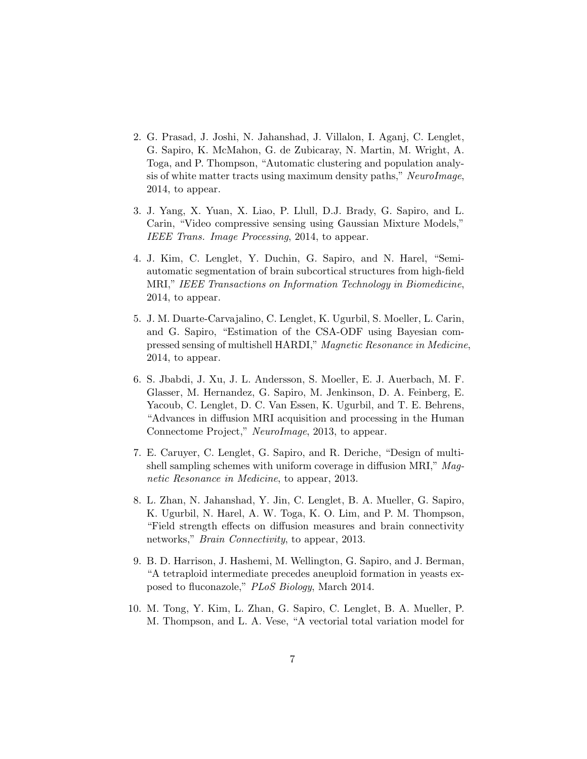- 2. G. Prasad, J. Joshi, N. Jahanshad, J. Villalon, I. Aganj, C. Lenglet, G. Sapiro, K. McMahon, G. de Zubicaray, N. Martin, M. Wright, A. Toga, and P. Thompson, "Automatic clustering and population analysis of white matter tracts using maximum density paths," NeuroImage, 2014, to appear.
- 3. J. Yang, X. Yuan, X. Liao, P. Llull, D.J. Brady, G. Sapiro, and L. Carin, "Video compressive sensing using Gaussian Mixture Models," IEEE Trans. Image Processing, 2014, to appear.
- 4. J. Kim, C. Lenglet, Y. Duchin, G. Sapiro, and N. Harel, "Semiautomatic segmentation of brain subcortical structures from high-field MRI," IEEE Transactions on Information Technology in Biomedicine, 2014, to appear.
- 5. J. M. Duarte-Carvajalino, C. Lenglet, K. Ugurbil, S. Moeller, L. Carin, and G. Sapiro, "Estimation of the CSA-ODF using Bayesian compressed sensing of multishell HARDI," Magnetic Resonance in Medicine, 2014, to appear.
- 6. S. Jbabdi, J. Xu, J. L. Andersson, S. Moeller, E. J. Auerbach, M. F. Glasser, M. Hernandez, G. Sapiro, M. Jenkinson, D. A. Feinberg, E. Yacoub, C. Lenglet, D. C. Van Essen, K. Ugurbil, and T. E. Behrens, "Advances in diffusion MRI acquisition and processing in the Human Connectome Project," NeuroImage, 2013, to appear.
- 7. E. Caruyer, C. Lenglet, G. Sapiro, and R. Deriche, "Design of multishell sampling schemes with uniform coverage in diffusion MRI," Magnetic Resonance in Medicine, to appear, 2013.
- 8. L. Zhan, N. Jahanshad, Y. Jin, C. Lenglet, B. A. Mueller, G. Sapiro, K. Ugurbil, N. Harel, A. W. Toga, K. O. Lim, and P. M. Thompson, "Field strength effects on diffusion measures and brain connectivity networks," *Brain Connectivity*, to appear, 2013.
- 9. B. D. Harrison, J. Hashemi, M. Wellington, G. Sapiro, and J. Berman, "A tetraploid intermediate precedes aneuploid formation in yeasts exposed to fluconazole," PLoS Biology, March 2014.
- 10. M. Tong, Y. Kim, L. Zhan, G. Sapiro, C. Lenglet, B. A. Mueller, P. M. Thompson, and L. A. Vese, "A vectorial total variation model for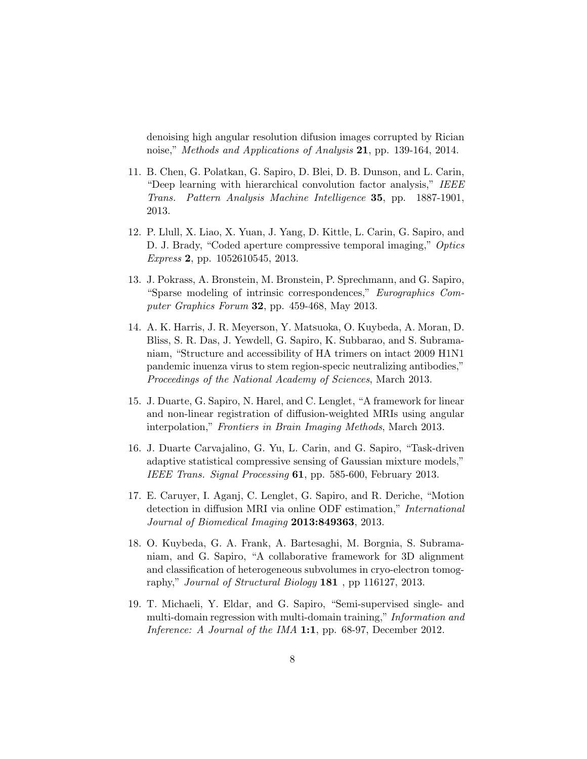denoising high angular resolution difusion images corrupted by Rician noise," Methods and Applications of Analysis 21, pp. 139-164, 2014.

- 11. B. Chen, G. Polatkan, G. Sapiro, D. Blei, D. B. Dunson, and L. Carin, "Deep learning with hierarchical convolution factor analysis," IEEE Trans. Pattern Analysis Machine Intelligence 35, pp. 1887-1901, 2013.
- 12. P. Llull, X. Liao, X. Yuan, J. Yang, D. Kittle, L. Carin, G. Sapiro, and D. J. Brady, "Coded aperture compressive temporal imaging," Optics Express 2, pp. 1052610545, 2013.
- 13. J. Pokrass, A. Bronstein, M. Bronstein, P. Sprechmann, and G. Sapiro, "Sparse modeling of intrinsic correspondences," Eurographics Computer Graphics Forum 32, pp. 459-468, May 2013.
- 14. A. K. Harris, J. R. Meyerson, Y. Matsuoka, O. Kuybeda, A. Moran, D. Bliss, S. R. Das, J. Yewdell, G. Sapiro, K. Subbarao, and S. Subramaniam, "Structure and accessibility of HA trimers on intact 2009 H1N1 pandemic inuenza virus to stem region-specic neutralizing antibodies," Proceedings of the National Academy of Sciences, March 2013.
- 15. J. Duarte, G. Sapiro, N. Harel, and C. Lenglet, "A framework for linear and non-linear registration of diffusion-weighted MRIs using angular interpolation," Frontiers in Brain Imaging Methods, March 2013.
- 16. J. Duarte Carvajalino, G. Yu, L. Carin, and G. Sapiro, "Task-driven adaptive statistical compressive sensing of Gaussian mixture models," IEEE Trans. Signal Processing 61, pp. 585-600, February 2013.
- 17. E. Caruyer, I. Aganj, C. Lenglet, G. Sapiro, and R. Deriche, "Motion detection in diffusion MRI via online ODF estimation," International Journal of Biomedical Imaging 2013:849363, 2013.
- 18. O. Kuybeda, G. A. Frank, A. Bartesaghi, M. Borgnia, S. Subramaniam, and G. Sapiro, "A collaborative framework for 3D alignment and classification of heterogeneous subvolumes in cryo-electron tomography," *Journal of Structural Biology* **181**, pp 116127, 2013.
- 19. T. Michaeli, Y. Eldar, and G. Sapiro, "Semi-supervised single- and multi-domain regression with multi-domain training," Information and Inference: A Journal of the IMA 1:1, pp. 68-97, December 2012.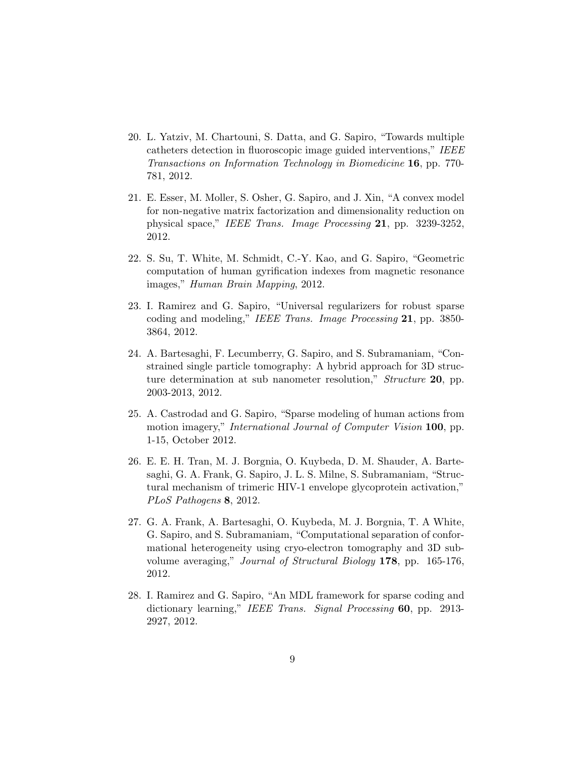- 20. L. Yatziv, M. Chartouni, S. Datta, and G. Sapiro, "Towards multiple catheters detection in fluoroscopic image guided interventions," IEEE Transactions on Information Technology in Biomedicine 16, pp. 770- 781, 2012.
- 21. E. Esser, M. Moller, S. Osher, G. Sapiro, and J. Xin, "A convex model for non-negative matrix factorization and dimensionality reduction on physical space," IEEE Trans. Image Processing 21, pp. 3239-3252, 2012.
- 22. S. Su, T. White, M. Schmidt, C.-Y. Kao, and G. Sapiro, "Geometric computation of human gyrification indexes from magnetic resonance images," Human Brain Mapping, 2012.
- 23. I. Ramirez and G. Sapiro, "Universal regularizers for robust sparse coding and modeling," IEEE Trans. Image Processing 21, pp. 3850-3864, 2012.
- 24. A. Bartesaghi, F. Lecumberry, G. Sapiro, and S. Subramaniam, "Constrained single particle tomography: A hybrid approach for 3D structure determination at sub nanometer resolution," Structure 20, pp. 2003-2013, 2012.
- 25. A. Castrodad and G. Sapiro, "Sparse modeling of human actions from motion imagery," *International Journal of Computer Vision* 100, pp. 1-15, October 2012.
- 26. E. E. H. Tran, M. J. Borgnia, O. Kuybeda, D. M. Shauder, A. Bartesaghi, G. A. Frank, G. Sapiro, J. L. S. Milne, S. Subramaniam, "Structural mechanism of trimeric HIV-1 envelope glycoprotein activation," PLoS Pathogens 8, 2012.
- 27. G. A. Frank, A. Bartesaghi, O. Kuybeda, M. J. Borgnia, T. A White, G. Sapiro, and S. Subramaniam, "Computational separation of conformational heterogeneity using cryo-electron tomography and 3D subvolume averaging," Journal of Structural Biology 178, pp. 165-176, 2012.
- 28. I. Ramirez and G. Sapiro, "An MDL framework for sparse coding and dictionary learning," IEEE Trans. Signal Processing 60, pp. 2913-2927, 2012.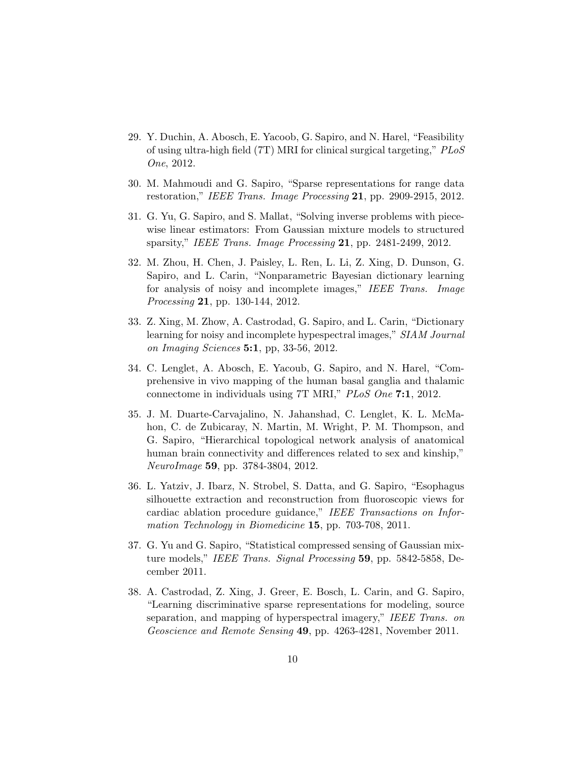- 29. Y. Duchin, A. Abosch, E. Yacoob, G. Sapiro, and N. Harel, "Feasibility of using ultra-high field (7T) MRI for clinical surgical targeting," PLoS One, 2012.
- 30. M. Mahmoudi and G. Sapiro, "Sparse representations for range data restoration," IEEE Trans. Image Processing  $21$ , pp. 2909-2915, 2012.
- 31. G. Yu, G. Sapiro, and S. Mallat, "Solving inverse problems with piecewise linear estimators: From Gaussian mixture models to structured sparsity," IEEE Trans. Image Processing 21, pp. 2481-2499, 2012.
- 32. M. Zhou, H. Chen, J. Paisley, L. Ren, L. Li, Z. Xing, D. Dunson, G. Sapiro, and L. Carin, "Nonparametric Bayesian dictionary learning for analysis of noisy and incomplete images," IEEE Trans. Image Processing 21, pp. 130-144, 2012.
- 33. Z. Xing, M. Zhow, A. Castrodad, G. Sapiro, and L. Carin, "Dictionary learning for noisy and incomplete hypespectral images," SIAM Journal on Imaging Sciences 5:1, pp, 33-56, 2012.
- 34. C. Lenglet, A. Abosch, E. Yacoub, G. Sapiro, and N. Harel, "Comprehensive in vivo mapping of the human basal ganglia and thalamic connectome in individuals using 7T MRI," PLoS One 7:1, 2012.
- 35. J. M. Duarte-Carvajalino, N. Jahanshad, C. Lenglet, K. L. McMahon, C. de Zubicaray, N. Martin, M. Wright, P. M. Thompson, and G. Sapiro, "Hierarchical topological network analysis of anatomical human brain connectivity and differences related to sex and kinship," NeuroImage 59, pp. 3784-3804, 2012.
- 36. L. Yatziv, J. Ibarz, N. Strobel, S. Datta, and G. Sapiro, "Esophagus silhouette extraction and reconstruction from fluoroscopic views for cardiac ablation procedure guidance," IEEE Transactions on Information Technology in Biomedicine 15, pp. 703-708, 2011.
- 37. G. Yu and G. Sapiro, "Statistical compressed sensing of Gaussian mixture models," IEEE Trans. Signal Processing 59, pp. 5842-5858, December 2011.
- 38. A. Castrodad, Z. Xing, J. Greer, E. Bosch, L. Carin, and G. Sapiro, "Learning discriminative sparse representations for modeling, source separation, and mapping of hyperspectral imagery," IEEE Trans. on Geoscience and Remote Sensing 49, pp. 4263-4281, November 2011.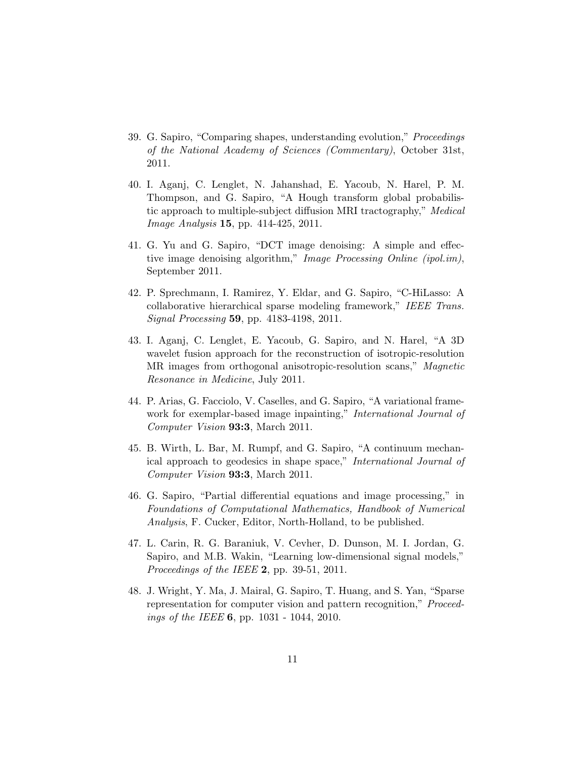- 39. G. Sapiro, "Comparing shapes, understanding evolution," Proceedings of the National Academy of Sciences (Commentary), October 31st, 2011.
- 40. I. Aganj, C. Lenglet, N. Jahanshad, E. Yacoub, N. Harel, P. M. Thompson, and G. Sapiro, "A Hough transform global probabilistic approach to multiple-subject diffusion MRI tractography," Medical *Image Analysis* **15**, pp. 414-425, 2011.
- 41. G. Yu and G. Sapiro, "DCT image denoising: A simple and effective image denoising algorithm," Image Processing Online (ipol.im), September 2011.
- 42. P. Sprechmann, I. Ramirez, Y. Eldar, and G. Sapiro, "C-HiLasso: A collaborative hierarchical sparse modeling framework," IEEE Trans. Signal Processing 59, pp. 4183-4198, 2011.
- 43. I. Aganj, C. Lenglet, E. Yacoub, G. Sapiro, and N. Harel, "A 3D wavelet fusion approach for the reconstruction of isotropic-resolution MR images from orthogonal anisotropic-resolution scans," Magnetic Resonance in Medicine, July 2011.
- 44. P. Arias, G. Facciolo, V. Caselles, and G. Sapiro, "A variational framework for exemplar-based image inpainting," International Journal of Computer Vision 93:3, March 2011.
- 45. B. Wirth, L. Bar, M. Rumpf, and G. Sapiro, "A continuum mechanical approach to geodesics in shape space," International Journal of Computer Vision 93:3, March 2011.
- 46. G. Sapiro, "Partial differential equations and image processing," in Foundations of Computational Mathematics, Handbook of Numerical Analysis, F. Cucker, Editor, North-Holland, to be published.
- 47. L. Carin, R. G. Baraniuk, V. Cevher, D. Dunson, M. I. Jordan, G. Sapiro, and M.B. Wakin, "Learning low-dimensional signal models," Proceedings of the IEEE 2, pp. 39-51, 2011.
- 48. J. Wright, Y. Ma, J. Mairal, G. Sapiro, T. Huang, and S. Yan, "Sparse representation for computer vision and pattern recognition," Proceedings of the IEEE 6, pp. 1031 - 1044, 2010.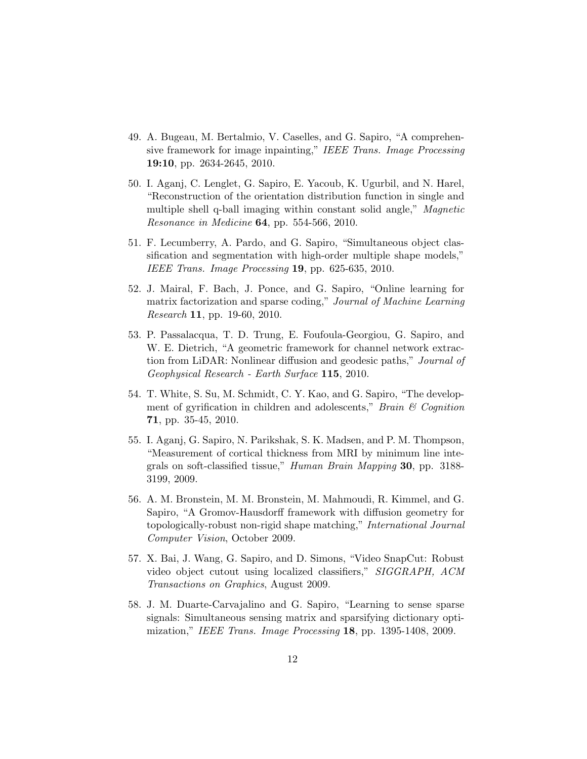- 49. A. Bugeau, M. Bertalmio, V. Caselles, and G. Sapiro, "A comprehensive framework for image inpainting," IEEE Trans. Image Processing 19:10, pp. 2634-2645, 2010.
- 50. I. Aganj, C. Lenglet, G. Sapiro, E. Yacoub, K. Ugurbil, and N. Harel, "Reconstruction of the orientation distribution function in single and multiple shell q-ball imaging within constant solid angle," Magnetic Resonance in Medicine 64, pp. 554-566, 2010.
- 51. F. Lecumberry, A. Pardo, and G. Sapiro, "Simultaneous object classification and segmentation with high-order multiple shape models," IEEE Trans. Image Processing 19, pp. 625-635, 2010.
- 52. J. Mairal, F. Bach, J. Ponce, and G. Sapiro, "Online learning for matrix factorization and sparse coding," Journal of Machine Learning Research 11, pp. 19-60, 2010.
- 53. P. Passalacqua, T. D. Trung, E. Foufoula-Georgiou, G. Sapiro, and W. E. Dietrich, "A geometric framework for channel network extraction from LiDAR: Nonlinear diffusion and geodesic paths," Journal of Geophysical Research - Earth Surface 115, 2010.
- 54. T. White, S. Su, M. Schmidt, C. Y. Kao, and G. Sapiro, "The development of gyrification in children and adolescents," Brain  $\mathcal C$  Cognition 71, pp. 35-45, 2010.
- 55. I. Aganj, G. Sapiro, N. Parikshak, S. K. Madsen, and P. M. Thompson, "Measurement of cortical thickness from MRI by minimum line integrals on soft-classified tissue," Human Brain Mapping 30, pp. 3188- 3199, 2009.
- 56. A. M. Bronstein, M. M. Bronstein, M. Mahmoudi, R. Kimmel, and G. Sapiro, "A Gromov-Hausdorff framework with diffusion geometry for topologically-robust non-rigid shape matching," International Journal Computer Vision, October 2009.
- 57. X. Bai, J. Wang, G. Sapiro, and D. Simons, "Video SnapCut: Robust video object cutout using localized classifiers," SIGGRAPH, ACM Transactions on Graphics, August 2009.
- 58. J. M. Duarte-Carvajalino and G. Sapiro, "Learning to sense sparse signals: Simultaneous sensing matrix and sparsifying dictionary optimization," IEEE Trans. Image Processing 18, pp. 1395-1408, 2009.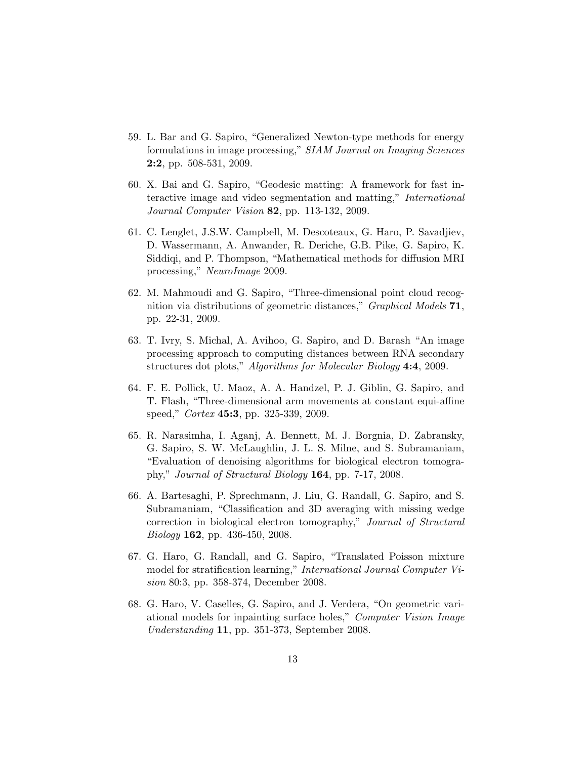- 59. L. Bar and G. Sapiro, "Generalized Newton-type methods for energy formulations in image processing," SIAM Journal on Imaging Sciences 2:2, pp. 508-531, 2009.
- 60. X. Bai and G. Sapiro, "Geodesic matting: A framework for fast interactive image and video segmentation and matting," International Journal Computer Vision 82, pp. 113-132, 2009.
- 61. C. Lenglet, J.S.W. Campbell, M. Descoteaux, G. Haro, P. Savadjiev, D. Wassermann, A. Anwander, R. Deriche, G.B. Pike, G. Sapiro, K. Siddiqi, and P. Thompson, "Mathematical methods for diffusion MRI processing," NeuroImage 2009.
- 62. M. Mahmoudi and G. Sapiro, "Three-dimensional point cloud recognition via distributions of geometric distances," Graphical Models 71, pp. 22-31, 2009.
- 63. T. Ivry, S. Michal, A. Avihoo, G. Sapiro, and D. Barash "An image processing approach to computing distances between RNA secondary structures dot plots," Algorithms for Molecular Biology 4:4, 2009.
- 64. F. E. Pollick, U. Maoz, A. A. Handzel, P. J. Giblin, G. Sapiro, and T. Flash, "Three-dimensional arm movements at constant equi-affine speed," *Cortex* 45:3, pp. 325-339, 2009.
- 65. R. Narasimha, I. Aganj, A. Bennett, M. J. Borgnia, D. Zabransky, G. Sapiro, S. W. McLaughlin, J. L. S. Milne, and S. Subramaniam, "Evaluation of denoising algorithms for biological electron tomography," Journal of Structural Biology 164, pp. 7-17, 2008.
- 66. A. Bartesaghi, P. Sprechmann, J. Liu, G. Randall, G. Sapiro, and S. Subramaniam, "Classification and 3D averaging with missing wedge correction in biological electron tomography," Journal of Structural Biology 162, pp. 436-450, 2008.
- 67. G. Haro, G. Randall, and G. Sapiro, "Translated Poisson mixture model for stratification learning," International Journal Computer Vision 80:3, pp. 358-374, December 2008.
- 68. G. Haro, V. Caselles, G. Sapiro, and J. Verdera, "On geometric variational models for inpainting surface holes," Computer Vision Image Understanding 11, pp. 351-373, September 2008.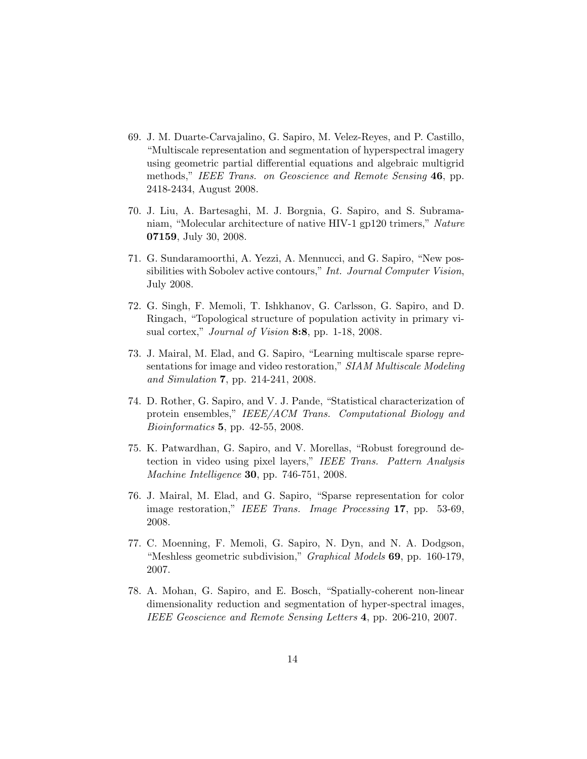- 69. J. M. Duarte-Carvajalino, G. Sapiro, M. Velez-Reyes, and P. Castillo, "Multiscale representation and segmentation of hyperspectral imagery using geometric partial differential equations and algebraic multigrid methods," IEEE Trans. on Geoscience and Remote Sensing 46, pp. 2418-2434, August 2008.
- 70. J. Liu, A. Bartesaghi, M. J. Borgnia, G. Sapiro, and S. Subramaniam, "Molecular architecture of native HIV-1 gp120 trimers," Nature 07159, July 30, 2008.
- 71. G. Sundaramoorthi, A. Yezzi, A. Mennucci, and G. Sapiro, "New possibilities with Sobolev active contours," Int. Journal Computer Vision, July 2008.
- 72. G. Singh, F. Memoli, T. Ishkhanov, G. Carlsson, G. Sapiro, and D. Ringach, "Topological structure of population activity in primary visual cortex," *Journal of Vision* 8:8, pp. 1-18, 2008.
- 73. J. Mairal, M. Elad, and G. Sapiro, "Learning multiscale sparse representations for image and video restoration," SIAM Multiscale Modeling and Simulation 7, pp. 214-241, 2008.
- 74. D. Rother, G. Sapiro, and V. J. Pande, "Statistical characterization of protein ensembles," IEEE/ACM Trans. Computational Biology and Bioinformatics 5, pp. 42-55, 2008.
- 75. K. Patwardhan, G. Sapiro, and V. Morellas, "Robust foreground detection in video using pixel layers," IEEE Trans. Pattern Analysis Machine Intelligence 30, pp. 746-751, 2008.
- 76. J. Mairal, M. Elad, and G. Sapiro, "Sparse representation for color image restoration," IEEE Trans. Image Processing 17, pp. 53-69, 2008.
- 77. C. Moenning, F. Memoli, G. Sapiro, N. Dyn, and N. A. Dodgson, "Meshless geometric subdivision," *Graphical Models* 69, pp. 160-179, 2007.
- 78. A. Mohan, G. Sapiro, and E. Bosch, "Spatially-coherent non-linear dimensionality reduction and segmentation of hyper-spectral images, IEEE Geoscience and Remote Sensing Letters 4, pp. 206-210, 2007.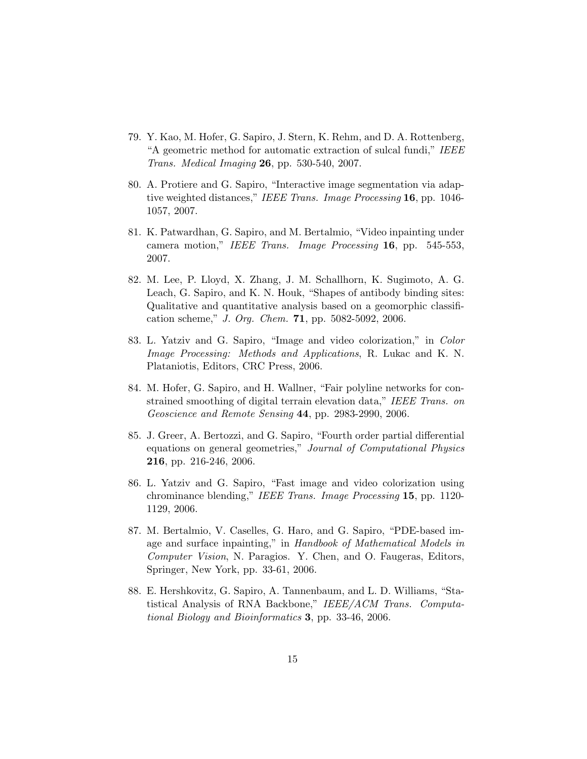- 79. Y. Kao, M. Hofer, G. Sapiro, J. Stern, K. Rehm, and D. A. Rottenberg, "A geometric method for automatic extraction of sulcal fundi," IEEE Trans. Medical Imaging 26, pp. 530-540, 2007.
- 80. A. Protiere and G. Sapiro, "Interactive image segmentation via adaptive weighted distances," IEEE Trans. Image Processing 16, pp. 1046-1057, 2007.
- 81. K. Patwardhan, G. Sapiro, and M. Bertalmio, "Video inpainting under camera motion," IEEE Trans. Image Processing 16, pp. 545-553, 2007.
- 82. M. Lee, P. Lloyd, X. Zhang, J. M. Schallhorn, K. Sugimoto, A. G. Leach, G. Sapiro, and K. N. Houk, "Shapes of antibody binding sites: Qualitative and quantitative analysis based on a geomorphic classification scheme," J. Org. Chem. 71, pp. 5082-5092, 2006.
- 83. L. Yatziv and G. Sapiro, "Image and video colorization," in Color Image Processing: Methods and Applications, R. Lukac and K. N. Plataniotis, Editors, CRC Press, 2006.
- 84. M. Hofer, G. Sapiro, and H. Wallner, "Fair polyline networks for constrained smoothing of digital terrain elevation data," IEEE Trans. on Geoscience and Remote Sensing 44, pp. 2983-2990, 2006.
- 85. J. Greer, A. Bertozzi, and G. Sapiro, "Fourth order partial differential equations on general geometries," Journal of Computational Physics 216, pp. 216-246, 2006.
- 86. L. Yatziv and G. Sapiro, "Fast image and video colorization using chrominance blending," IEEE Trans. Image Processing 15, pp. 1120- 1129, 2006.
- 87. M. Bertalmio, V. Caselles, G. Haro, and G. Sapiro, "PDE-based image and surface inpainting," in Handbook of Mathematical Models in Computer Vision, N. Paragios. Y. Chen, and O. Faugeras, Editors, Springer, New York, pp. 33-61, 2006.
- 88. E. Hershkovitz, G. Sapiro, A. Tannenbaum, and L. D. Williams, "Statistical Analysis of RNA Backbone," IEEE/ACM Trans. Computational Biology and Bioinformatics 3, pp. 33-46, 2006.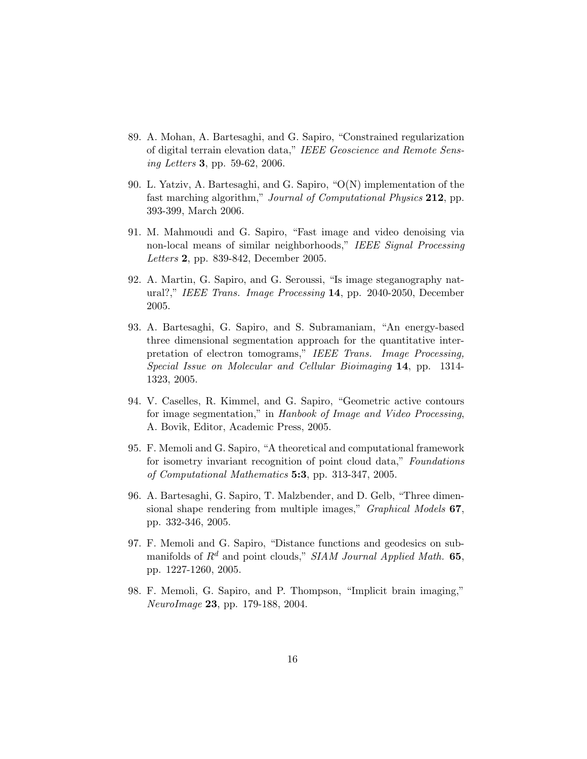- 89. A. Mohan, A. Bartesaghi, and G. Sapiro, "Constrained regularization of digital terrain elevation data," IEEE Geoscience and Remote Sensing Letters 3, pp. 59-62, 2006.
- 90. L. Yatziv, A. Bartesaghi, and G. Sapiro, "O(N) implementation of the fast marching algorithm," Journal of Computational Physics 212, pp. 393-399, March 2006.
- 91. M. Mahmoudi and G. Sapiro, "Fast image and video denoising via non-local means of similar neighborhoods," IEEE Signal Processing Letters 2, pp. 839-842, December 2005.
- 92. A. Martin, G. Sapiro, and G. Seroussi, "Is image steganography natural?," IEEE Trans. Image Processing 14, pp. 2040-2050, December 2005.
- 93. A. Bartesaghi, G. Sapiro, and S. Subramaniam, "An energy-based three dimensional segmentation approach for the quantitative interpretation of electron tomograms," IEEE Trans. Image Processing, Special Issue on Molecular and Cellular Bioimaging 14, pp. 1314- 1323, 2005.
- 94. V. Caselles, R. Kimmel, and G. Sapiro, "Geometric active contours for image segmentation," in Hanbook of Image and Video Processing, A. Bovik, Editor, Academic Press, 2005.
- 95. F. Memoli and G. Sapiro, "A theoretical and computational framework for isometry invariant recognition of point cloud data," Foundations of Computational Mathematics 5:3, pp. 313-347, 2005.
- 96. A. Bartesaghi, G. Sapiro, T. Malzbender, and D. Gelb, "Three dimensional shape rendering from multiple images," *Graphical Models* 67, pp. 332-346, 2005.
- 97. F. Memoli and G. Sapiro, "Distance functions and geodesics on submanifolds of  $R^d$  and point clouds," SIAM Journal Applied Math. 65, pp. 1227-1260, 2005.
- 98. F. Memoli, G. Sapiro, and P. Thompson, "Implicit brain imaging," NeuroImage 23, pp. 179-188, 2004.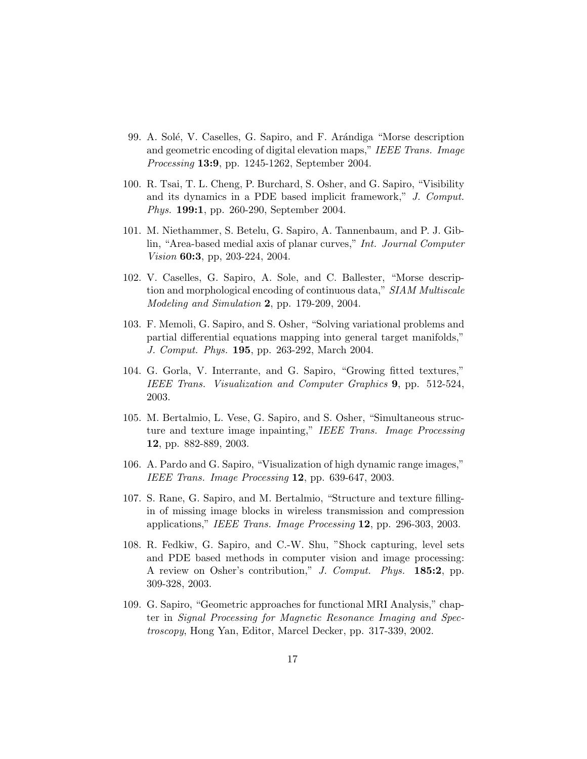- 99. A. Solé, V. Caselles, G. Sapiro, and F. Arándiga "Morse description and geometric encoding of digital elevation maps," IEEE Trans. Image Processing 13:9, pp. 1245-1262, September 2004.
- 100. R. Tsai, T. L. Cheng, P. Burchard, S. Osher, and G. Sapiro, "Visibility and its dynamics in a PDE based implicit framework," J. Comput. Phys. 199:1, pp. 260-290, September 2004.
- 101. M. Niethammer, S. Betelu, G. Sapiro, A. Tannenbaum, and P. J. Giblin, "Area-based medial axis of planar curves," Int. Journal Computer Vision 60:3, pp, 203-224, 2004.
- 102. V. Caselles, G. Sapiro, A. Sole, and C. Ballester, "Morse description and morphological encoding of continuous data," SIAM Multiscale Modeling and Simulation 2, pp. 179-209, 2004.
- 103. F. Memoli, G. Sapiro, and S. Osher, "Solving variational problems and partial differential equations mapping into general target manifolds," J. Comput. Phys. 195, pp. 263-292, March 2004.
- 104. G. Gorla, V. Interrante, and G. Sapiro, "Growing fitted textures," IEEE Trans. Visualization and Computer Graphics 9, pp. 512-524, 2003.
- 105. M. Bertalmio, L. Vese, G. Sapiro, and S. Osher, "Simultaneous structure and texture image inpainting," IEEE Trans. Image Processing 12, pp. 882-889, 2003.
- 106. A. Pardo and G. Sapiro, "Visualization of high dynamic range images," IEEE Trans. Image Processing 12, pp. 639-647, 2003.
- 107. S. Rane, G. Sapiro, and M. Bertalmio, "Structure and texture fillingin of missing image blocks in wireless transmission and compression applications," IEEE Trans. Image Processing 12, pp. 296-303, 2003.
- 108. R. Fedkiw, G. Sapiro, and C.-W. Shu, "Shock capturing, level sets and PDE based methods in computer vision and image processing: A review on Osher's contribution," J. Comput. Phys. 185:2, pp. 309-328, 2003.
- 109. G. Sapiro, "Geometric approaches for functional MRI Analysis," chapter in Signal Processing for Magnetic Resonance Imaging and Spectroscopy, Hong Yan, Editor, Marcel Decker, pp. 317-339, 2002.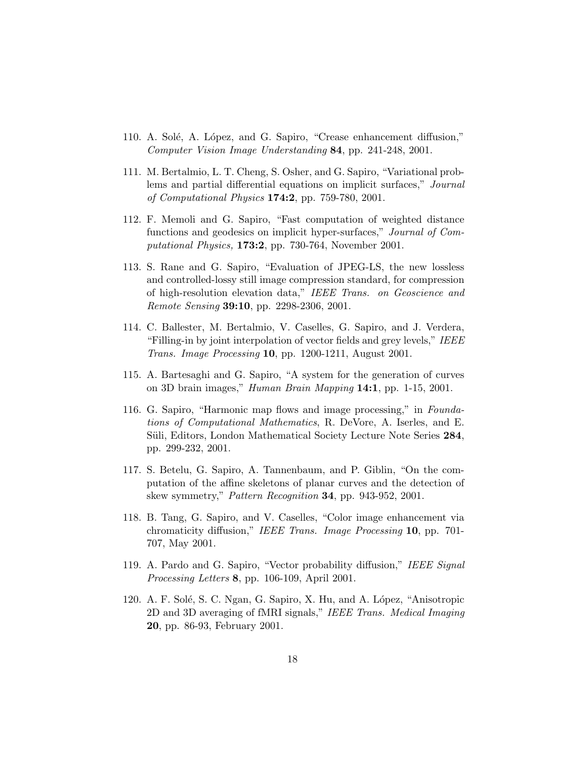- 110. A. Solé, A. López, and G. Sapiro, "Crease enhancement diffusion," Computer Vision Image Understanding 84, pp. 241-248, 2001.
- 111. M. Bertalmio, L. T. Cheng, S. Osher, and G. Sapiro, "Variational problems and partial differential equations on implicit surfaces," Journal of Computational Physics 174:2, pp. 759-780, 2001.
- 112. F. Memoli and G. Sapiro, "Fast computation of weighted distance functions and geodesics on implicit hyper-surfaces," Journal of Computational Physics, 173:2, pp. 730-764, November 2001.
- 113. S. Rane and G. Sapiro, "Evaluation of JPEG-LS, the new lossless and controlled-lossy still image compression standard, for compression of high-resolution elevation data," IEEE Trans. on Geoscience and Remote Sensing 39:10, pp. 2298-2306, 2001.
- 114. C. Ballester, M. Bertalmio, V. Caselles, G. Sapiro, and J. Verdera, "Filling-in by joint interpolation of vector fields and grey levels," IEEE Trans. Image Processing 10, pp. 1200-1211, August 2001.
- 115. A. Bartesaghi and G. Sapiro, "A system for the generation of curves on 3D brain images," Human Brain Mapping 14:1, pp. 1-15, 2001.
- 116. G. Sapiro, "Harmonic map flows and image processing," in Foundations of Computational Mathematics, R. DeVore, A. Iserles, and E. Süli, Editors, London Mathematical Society Lecture Note Series 284, pp. 299-232, 2001.
- 117. S. Betelu, G. Sapiro, A. Tannenbaum, and P. Giblin, "On the computation of the affine skeletons of planar curves and the detection of skew symmetry," Pattern Recognition 34, pp. 943-952, 2001.
- 118. B. Tang, G. Sapiro, and V. Caselles, "Color image enhancement via chromaticity diffusion," IEEE Trans. Image Processing 10, pp. 701- 707, May 2001.
- 119. A. Pardo and G. Sapiro, "Vector probability diffusion," IEEE Signal Processing Letters 8, pp. 106-109, April 2001.
- 120. A. F. Solé, S. C. Ngan, G. Sapiro, X. Hu, and A. López, "Anisotropic 2D and 3D averaging of fMRI signals," IEEE Trans. Medical Imaging 20, pp. 86-93, February 2001.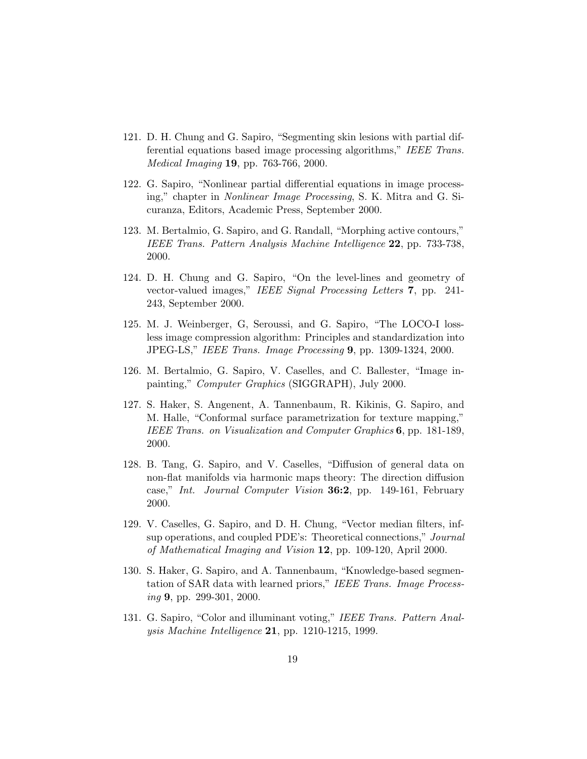- 121. D. H. Chung and G. Sapiro, "Segmenting skin lesions with partial differential equations based image processing algorithms," IEEE Trans. Medical Imaging 19, pp. 763-766, 2000.
- 122. G. Sapiro, "Nonlinear partial differential equations in image processing," chapter in Nonlinear Image Processing, S. K. Mitra and G. Sicuranza, Editors, Academic Press, September 2000.
- 123. M. Bertalmio, G. Sapiro, and G. Randall, "Morphing active contours," IEEE Trans. Pattern Analysis Machine Intelligence 22, pp. 733-738, 2000.
- 124. D. H. Chung and G. Sapiro, "On the level-lines and geometry of vector-valued images," IEEE Signal Processing Letters 7, pp. 241- 243, September 2000.
- 125. M. J. Weinberger, G, Seroussi, and G. Sapiro, "The LOCO-I lossless image compression algorithm: Principles and standardization into JPEG-LS," IEEE Trans. Image Processing 9, pp. 1309-1324, 2000.
- 126. M. Bertalmio, G. Sapiro, V. Caselles, and C. Ballester, "Image inpainting," Computer Graphics (SIGGRAPH), July 2000.
- 127. S. Haker, S. Angenent, A. Tannenbaum, R. Kikinis, G. Sapiro, and M. Halle, "Conformal surface parametrization for texture mapping," IEEE Trans. on Visualization and Computer Graphics 6, pp. 181-189, 2000.
- 128. B. Tang, G. Sapiro, and V. Caselles, "Diffusion of general data on non-flat manifolds via harmonic maps theory: The direction diffusion case," *Int. Journal Computer Vision* 36:2, pp. 149-161, February 2000.
- 129. V. Caselles, G. Sapiro, and D. H. Chung, "Vector median filters, infsup operations, and coupled PDE's: Theoretical connections," Journal of Mathematical Imaging and Vision 12, pp. 109-120, April 2000.
- 130. S. Haker, G. Sapiro, and A. Tannenbaum, "Knowledge-based segmentation of SAR data with learned priors," IEEE Trans. Image Process $inq$  9, pp. 299-301, 2000.
- 131. G. Sapiro, "Color and illuminant voting," IEEE Trans. Pattern Analysis Machine Intelligence 21, pp. 1210-1215, 1999.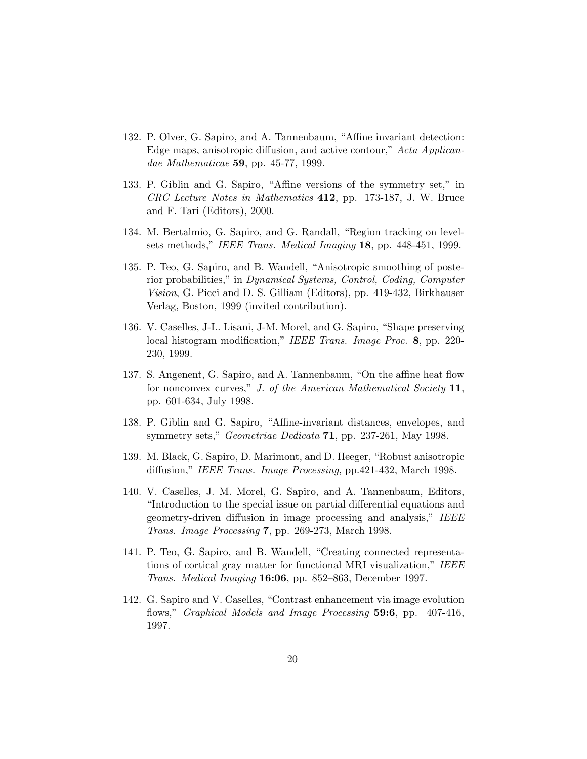- 132. P. Olver, G. Sapiro, and A. Tannenbaum, "Affine invariant detection: Edge maps, anisotropic diffusion, and active contour," Acta Applicandae Mathematicae 59, pp. 45-77, 1999.
- 133. P. Giblin and G. Sapiro, "Affine versions of the symmetry set," in CRC Lecture Notes in Mathematics 412, pp. 173-187, J. W. Bruce and F. Tari (Editors), 2000.
- 134. M. Bertalmio, G. Sapiro, and G. Randall, "Region tracking on levelsets methods," IEEE Trans. Medical Imaging 18, pp. 448-451, 1999.
- 135. P. Teo, G. Sapiro, and B. Wandell, "Anisotropic smoothing of posterior probabilities," in Dynamical Systems, Control, Coding, Computer Vision, G. Picci and D. S. Gilliam (Editors), pp. 419-432, Birkhauser Verlag, Boston, 1999 (invited contribution).
- 136. V. Caselles, J-L. Lisani, J-M. Morel, and G. Sapiro, "Shape preserving local histogram modification," IEEE Trans. Image Proc. 8, pp. 220-230, 1999.
- 137. S. Angenent, G. Sapiro, and A. Tannenbaum, "On the affine heat flow for nonconvex curves," J. of the American Mathematical Society 11, pp. 601-634, July 1998.
- 138. P. Giblin and G. Sapiro, "Affine-invariant distances, envelopes, and symmetry sets," *Geometriae Dedicata* **71**, pp. 237-261, May 1998.
- 139. M. Black, G. Sapiro, D. Marimont, and D. Heeger, "Robust anisotropic diffusion," IEEE Trans. Image Processing, pp.421-432, March 1998.
- 140. V. Caselles, J. M. Morel, G. Sapiro, and A. Tannenbaum, Editors, "Introduction to the special issue on partial differential equations and geometry-driven diffusion in image processing and analysis," IEEE Trans. Image Processing 7, pp. 269-273, March 1998.
- 141. P. Teo, G. Sapiro, and B. Wandell, "Creating connected representations of cortical gray matter for functional MRI visualization," IEEE Trans. Medical Imaging 16:06, pp. 852–863, December 1997.
- 142. G. Sapiro and V. Caselles, "Contrast enhancement via image evolution flows," *Graphical Models and Image Processing* 59:6, pp. 407-416, 1997.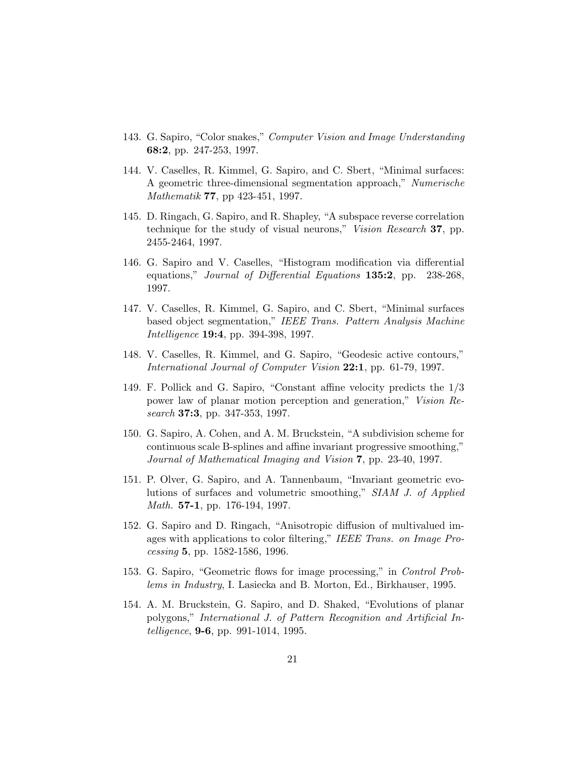- 143. G. Sapiro, "Color snakes," Computer Vision and Image Understanding 68:2, pp. 247-253, 1997.
- 144. V. Caselles, R. Kimmel, G. Sapiro, and C. Sbert, "Minimal surfaces: A geometric three-dimensional segmentation approach," Numerische Mathematik 77, pp 423-451, 1997.
- 145. D. Ringach, G. Sapiro, and R. Shapley, "A subspace reverse correlation technique for the study of visual neurons," Vision Research 37, pp. 2455-2464, 1997.
- 146. G. Sapiro and V. Caselles, "Histogram modification via differential equations," *Journal of Differential Equations* 135:2, pp. 238-268, 1997.
- 147. V. Caselles, R. Kimmel, G. Sapiro, and C. Sbert, "Minimal surfaces based object segmentation," IEEE Trans. Pattern Analysis Machine Intelligence **19:4**, pp. 394-398, 1997.
- 148. V. Caselles, R. Kimmel, and G. Sapiro, "Geodesic active contours," International Journal of Computer Vision 22:1, pp. 61-79, 1997.
- 149. F. Pollick and G. Sapiro, "Constant affine velocity predicts the 1/3 power law of planar motion perception and generation," Vision Research **37:3**, pp. 347-353, 1997.
- 150. G. Sapiro, A. Cohen, and A. M. Bruckstein, "A subdivision scheme for continuous scale B-splines and affine invariant progressive smoothing," Journal of Mathematical Imaging and Vision 7, pp. 23-40, 1997.
- 151. P. Olver, G. Sapiro, and A. Tannenbaum, "Invariant geometric evolutions of surfaces and volumetric smoothing," SIAM J. of Applied Math. 57-1, pp. 176-194, 1997.
- 152. G. Sapiro and D. Ringach, "Anisotropic diffusion of multivalued images with applications to color filtering," IEEE Trans. on Image Processing 5, pp. 1582-1586, 1996.
- 153. G. Sapiro, "Geometric flows for image processing," in Control Problems in Industry, I. Lasiecka and B. Morton, Ed., Birkhauser, 1995.
- 154. A. M. Bruckstein, G. Sapiro, and D. Shaked, "Evolutions of planar polygons," International J. of Pattern Recognition and Artificial Intelligence, 9-6, pp. 991-1014, 1995.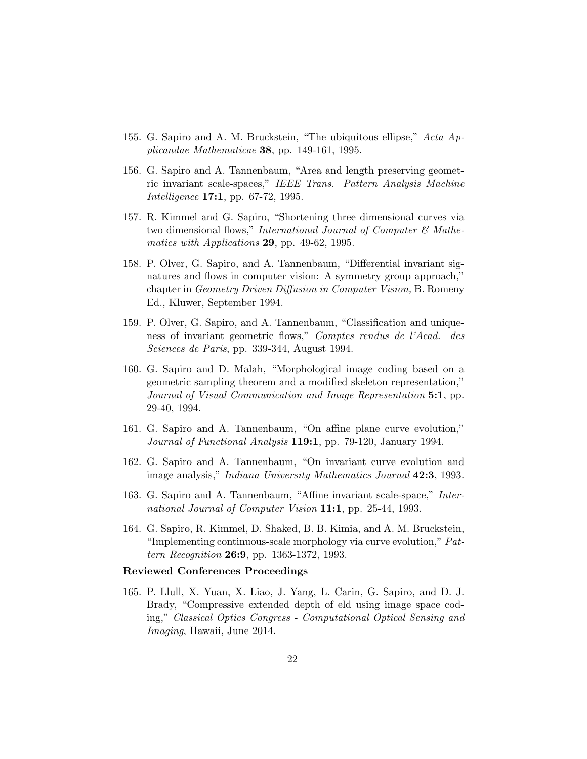- 155. G. Sapiro and A. M. Bruckstein, "The ubiquitous ellipse," Acta Applicandae Mathematicae 38, pp. 149-161, 1995.
- 156. G. Sapiro and A. Tannenbaum, "Area and length preserving geometric invariant scale-spaces," IEEE Trans. Pattern Analysis Machine Intelligence 17:1, pp. 67-72, 1995.
- 157. R. Kimmel and G. Sapiro, "Shortening three dimensional curves via two dimensional flows," International Journal of Computer  $\mathcal C$  Mathematics with Applications 29, pp. 49-62, 1995.
- 158. P. Olver, G. Sapiro, and A. Tannenbaum, "Differential invariant signatures and flows in computer vision: A symmetry group approach," chapter in Geometry Driven Diffusion in Computer Vision, B. Romeny Ed., Kluwer, September 1994.
- 159. P. Olver, G. Sapiro, and A. Tannenbaum, "Classification and uniqueness of invariant geometric flows," Comptes rendus de l'Acad. des Sciences de Paris, pp. 339-344, August 1994.
- 160. G. Sapiro and D. Malah, "Morphological image coding based on a geometric sampling theorem and a modified skeleton representation," Journal of Visual Communication and Image Representation 5:1, pp. 29-40, 1994.
- 161. G. Sapiro and A. Tannenbaum, "On affine plane curve evolution," Journal of Functional Analysis 119:1, pp. 79-120, January 1994.
- 162. G. Sapiro and A. Tannenbaum, "On invariant curve evolution and image analysis," *Indiana University Mathematics Journal* 42:3, 1993.
- 163. G. Sapiro and A. Tannenbaum, "Affine invariant scale-space," International Journal of Computer Vision 11:1, pp. 25-44, 1993.
- 164. G. Sapiro, R. Kimmel, D. Shaked, B. B. Kimia, and A. M. Bruckstein, "Implementing continuous-scale morphology via curve evolution," Pattern Recognition 26:9, pp. 1363-1372, 1993.

#### Reviewed Conferences Proceedings

165. P. Llull, X. Yuan, X. Liao, J. Yang, L. Carin, G. Sapiro, and D. J. Brady, "Compressive extended depth of eld using image space coding," Classical Optics Congress - Computational Optical Sensing and Imaging, Hawaii, June 2014.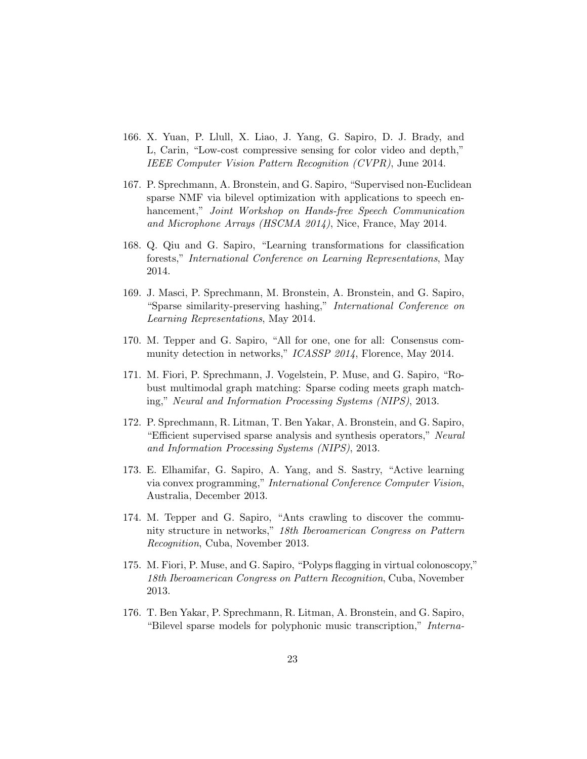- 166. X. Yuan, P. Llull, X. Liao, J. Yang, G. Sapiro, D. J. Brady, and L, Carin, "Low-cost compressive sensing for color video and depth," IEEE Computer Vision Pattern Recognition (CVPR), June 2014.
- 167. P. Sprechmann, A. Bronstein, and G. Sapiro, "Supervised non-Euclidean sparse NMF via bilevel optimization with applications to speech enhancement," Joint Workshop on Hands-free Speech Communication and Microphone Arrays (HSCMA 2014), Nice, France, May 2014.
- 168. Q. Qiu and G. Sapiro, "Learning transformations for classification forests," International Conference on Learning Representations, May 2014.
- 169. J. Masci, P. Sprechmann, M. Bronstein, A. Bronstein, and G. Sapiro, "Sparse similarity-preserving hashing," International Conference on Learning Representations, May 2014.
- 170. M. Tepper and G. Sapiro, "All for one, one for all: Consensus community detection in networks," ICASSP 2014, Florence, May 2014.
- 171. M. Fiori, P. Sprechmann, J. Vogelstein, P. Muse, and G. Sapiro, "Robust multimodal graph matching: Sparse coding meets graph matching," Neural and Information Processing Systems (NIPS), 2013.
- 172. P. Sprechmann, R. Litman, T. Ben Yakar, A. Bronstein, and G. Sapiro, "Efficient supervised sparse analysis and synthesis operators," Neural and Information Processing Systems (NIPS), 2013.
- 173. E. Elhamifar, G. Sapiro, A. Yang, and S. Sastry, "Active learning via convex programming," International Conference Computer Vision, Australia, December 2013.
- 174. M. Tepper and G. Sapiro, "Ants crawling to discover the community structure in networks," 18th Iberoamerican Congress on Pattern Recognition, Cuba, November 2013.
- 175. M. Fiori, P. Muse, and G. Sapiro, "Polyps flagging in virtual colonoscopy," 18th Iberoamerican Congress on Pattern Recognition, Cuba, November 2013.
- 176. T. Ben Yakar, P. Sprechmann, R. Litman, A. Bronstein, and G. Sapiro, "Bilevel sparse models for polyphonic music transcription," Interna-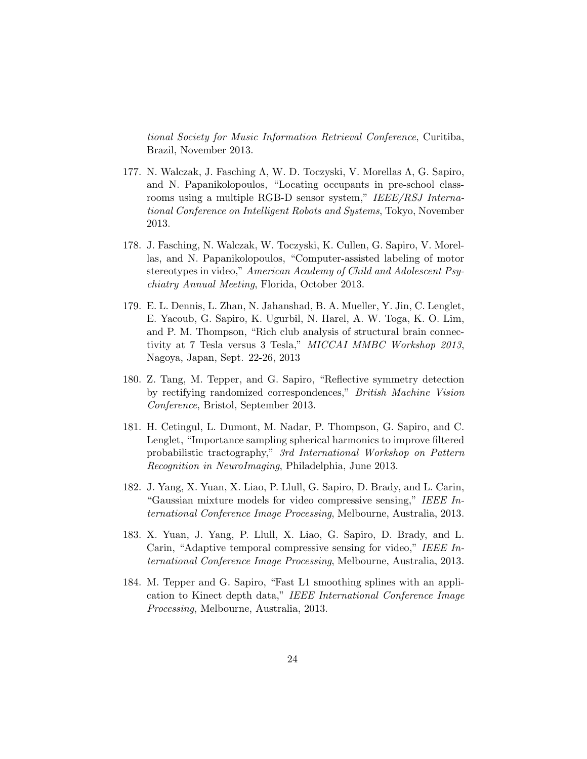tional Society for Music Information Retrieval Conference, Curitiba, Brazil, November 2013.

- 177. N. Walczak, J. Fasching Λ, W. D. Toczyski, V. Morellas Λ, G. Sapiro, and N. Papanikolopoulos, "Locating occupants in pre-school classrooms using a multiple RGB-D sensor system," IEEE/RSJ International Conference on Intelligent Robots and Systems, Tokyo, November 2013.
- 178. J. Fasching, N. Walczak, W. Toczyski, K. Cullen, G. Sapiro, V. Morellas, and N. Papanikolopoulos, "Computer-assisted labeling of motor stereotypes in video," American Academy of Child and Adolescent Psychiatry Annual Meeting, Florida, October 2013.
- 179. E. L. Dennis, L. Zhan, N. Jahanshad, B. A. Mueller, Y. Jin, C. Lenglet, E. Yacoub, G. Sapiro, K. Ugurbil, N. Harel, A. W. Toga, K. O. Lim, and P. M. Thompson, "Rich club analysis of structural brain connectivity at 7 Tesla versus 3 Tesla," MICCAI MMBC Workshop 2013, Nagoya, Japan, Sept. 22-26, 2013
- 180. Z. Tang, M. Tepper, and G. Sapiro, "Reflective symmetry detection by rectifying randomized correspondences," British Machine Vision Conference, Bristol, September 2013.
- 181. H. Cetingul, L. Dumont, M. Nadar, P. Thompson, G. Sapiro, and C. Lenglet, "Importance sampling spherical harmonics to improve filtered probabilistic tractography," 3rd International Workshop on Pattern Recognition in NeuroImaging, Philadelphia, June 2013.
- 182. J. Yang, X. Yuan, X. Liao, P. Llull, G. Sapiro, D. Brady, and L. Carin, "Gaussian mixture models for video compressive sensing," IEEE International Conference Image Processing, Melbourne, Australia, 2013.
- 183. X. Yuan, J. Yang, P. Llull, X. Liao, G. Sapiro, D. Brady, and L. Carin, "Adaptive temporal compressive sensing for video," IEEE International Conference Image Processing, Melbourne, Australia, 2013.
- 184. M. Tepper and G. Sapiro, "Fast L1 smoothing splines with an application to Kinect depth data," IEEE International Conference Image Processing, Melbourne, Australia, 2013.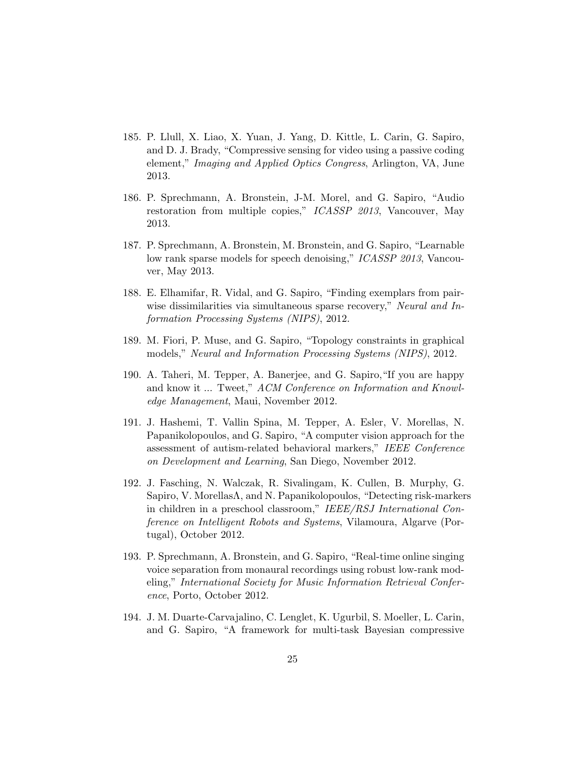- 185. P. Llull, X. Liao, X. Yuan, J. Yang, D. Kittle, L. Carin, G. Sapiro, and D. J. Brady, "Compressive sensing for video using a passive coding element," Imaging and Applied Optics Congress, Arlington, VA, June 2013.
- 186. P. Sprechmann, A. Bronstein, J-M. Morel, and G. Sapiro, "Audio restoration from multiple copies," ICASSP 2013, Vancouver, May 2013.
- 187. P. Sprechmann, A. Bronstein, M. Bronstein, and G. Sapiro, "Learnable low rank sparse models for speech denoising," ICASSP 2013, Vancouver, May 2013.
- 188. E. Elhamifar, R. Vidal, and G. Sapiro, "Finding exemplars from pairwise dissimilarities via simultaneous sparse recovery," Neural and Information Processing Systems (NIPS), 2012.
- 189. M. Fiori, P. Muse, and G. Sapiro, "Topology constraints in graphical models," Neural and Information Processing Systems (NIPS), 2012.
- 190. A. Taheri, M. Tepper, A. Banerjee, and G. Sapiro,"If you are happy and know it ... Tweet," ACM Conference on Information and Knowledge Management, Maui, November 2012.
- 191. J. Hashemi, T. Vallin Spina, M. Tepper, A. Esler, V. Morellas, N. Papanikolopoulos, and G. Sapiro, "A computer vision approach for the assessment of autism-related behavioral markers," IEEE Conference on Development and Learning, San Diego, November 2012.
- 192. J. Fasching, N. Walczak, R. Sivalingam, K. Cullen, B. Murphy, G. Sapiro, V. MorellasΛ, and N. Papanikolopoulos, "Detecting risk-markers in children in a preschool classroom," IEEE/RSJ International Conference on Intelligent Robots and Systems, Vilamoura, Algarve (Portugal), October 2012.
- 193. P. Sprechmann, A. Bronstein, and G. Sapiro, "Real-time online singing voice separation from monaural recordings using robust low-rank modeling," International Society for Music Information Retrieval Conference, Porto, October 2012.
- 194. J. M. Duarte-Carvajalino, C. Lenglet, K. Ugurbil, S. Moeller, L. Carin, and G. Sapiro, "A framework for multi-task Bayesian compressive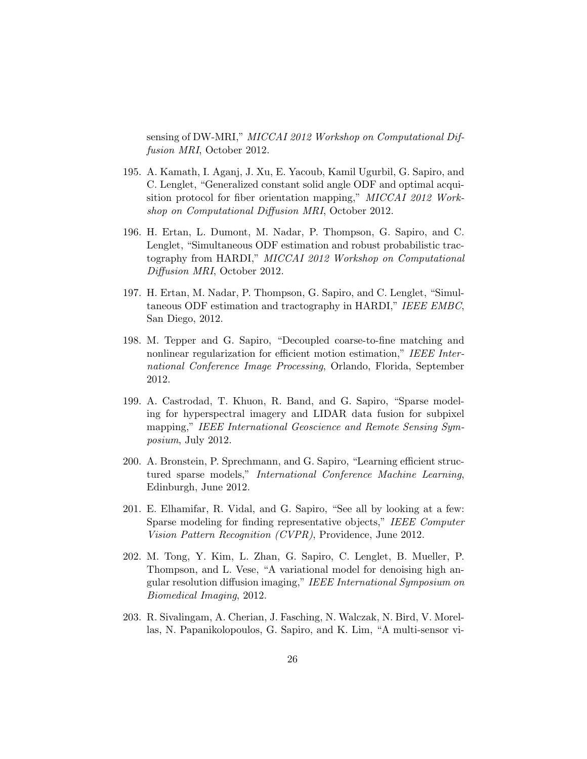sensing of DW-MRI," MICCAI 2012 Workshop on Computational Diffusion MRI, October 2012.

- 195. A. Kamath, I. Aganj, J. Xu, E. Yacoub, Kamil Ugurbil, G. Sapiro, and C. Lenglet, "Generalized constant solid angle ODF and optimal acquisition protocol for fiber orientation mapping," MICCAI 2012 Workshop on Computational Diffusion MRI, October 2012.
- 196. H. Ertan, L. Dumont, M. Nadar, P. Thompson, G. Sapiro, and C. Lenglet, "Simultaneous ODF estimation and robust probabilistic tractography from HARDI," MICCAI 2012 Workshop on Computational Diffusion MRI, October 2012.
- 197. H. Ertan, M. Nadar, P. Thompson, G. Sapiro, and C. Lenglet, "Simultaneous ODF estimation and tractography in HARDI," IEEE EMBC, San Diego, 2012.
- 198. M. Tepper and G. Sapiro, "Decoupled coarse-to-fine matching and nonlinear regularization for efficient motion estimation," IEEE International Conference Image Processing, Orlando, Florida, September 2012.
- 199. A. Castrodad, T. Khuon, R. Band, and G. Sapiro, "Sparse modeling for hyperspectral imagery and LIDAR data fusion for subpixel mapping," IEEE International Geoscience and Remote Sensing Symposium, July 2012.
- 200. A. Bronstein, P. Sprechmann, and G. Sapiro, "Learning efficient structured sparse models," International Conference Machine Learning, Edinburgh, June 2012.
- 201. E. Elhamifar, R. Vidal, and G. Sapiro, "See all by looking at a few: Sparse modeling for finding representative objects," IEEE Computer Vision Pattern Recognition (CVPR), Providence, June 2012.
- 202. M. Tong, Y. Kim, L. Zhan, G. Sapiro, C. Lenglet, B. Mueller, P. Thompson, and L. Vese, "A variational model for denoising high angular resolution diffusion imaging," IEEE International Symposium on Biomedical Imaging, 2012.
- 203. R. Sivalingam, A. Cherian, J. Fasching, N. Walczak, N. Bird, V. Morellas, N. Papanikolopoulos, G. Sapiro, and K. Lim, "A multi-sensor vi-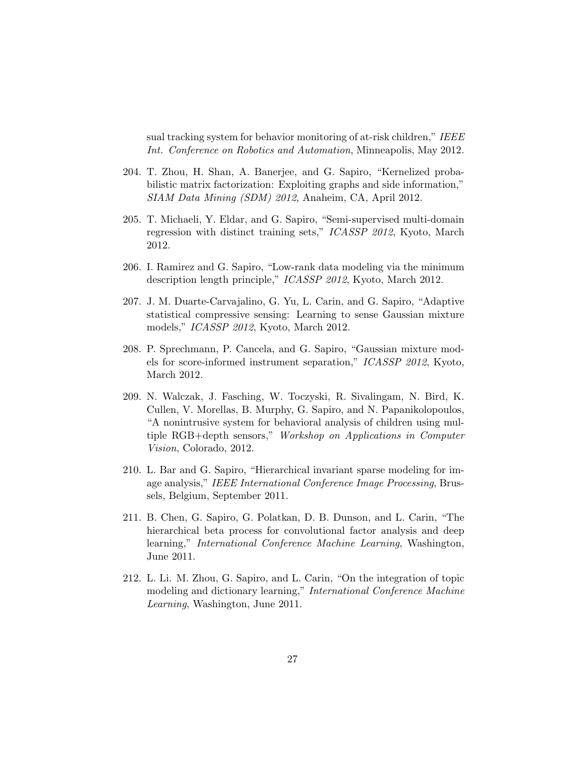sual tracking system for behavior monitoring of at-risk children," IEEE Int. Conference on Robotics and Automation, Minneapolis, May 2012.

- 204. T. Zhou, H. Shan, A. Banerjee, and G. Sapiro, "Kernelized probabilistic matrix factorization: Exploiting graphs and side information," SIAM Data Mining (SDM) 2012, Anaheim, CA, April 2012.
- 205. T. Michaeli, Y. Eldar, and G. Sapiro, "Semi-supervised multi-domain regression with distinct training sets," ICASSP 2012, Kyoto, March 2012.
- 206. I. Ramirez and G. Sapiro, "Low-rank data modeling via the minimum description length principle," ICASSP 2012, Kyoto, March 2012.
- 207. J. M. Duarte-Carvajalino, G. Yu, L. Carin, and G. Sapiro, "Adaptive statistical compressive sensing: Learning to sense Gaussian mixture models," ICASSP 2012, Kyoto, March 2012.
- 208. P. Sprechmann, P. Cancela, and G. Sapiro, "Gaussian mixture models for score-informed instrument separation," ICASSP 2012, Kyoto, March 2012.
- 209. N. Walczak, J. Fasching, W. Toczyski, R. Sivalingam, N. Bird, K. Cullen, V. Morellas, B. Murphy, G. Sapiro, and N. Papanikolopoulos, "A nonintrusive system for behavioral analysis of children using multiple RGB+depth sensors," Workshop on Applications in Computer Vision, Colorado, 2012.
- 210. L. Bar and G. Sapiro, "Hierarchical invariant sparse modeling for image analysis," IEEE International Conference Image Processing, Brussels, Belgium, September 2011.
- 211. B. Chen, G. Sapiro, G. Polatkan, D. B. Dunson, and L. Carin, "The hierarchical beta process for convolutional factor analysis and deep learning," International Conference Machine Learning, Washington, June 2011.
- 212. L. Li. M. Zhou, G. Sapiro, and L. Carin, "On the integration of topic modeling and dictionary learning," International Conference Machine Learning, Washington, June 2011.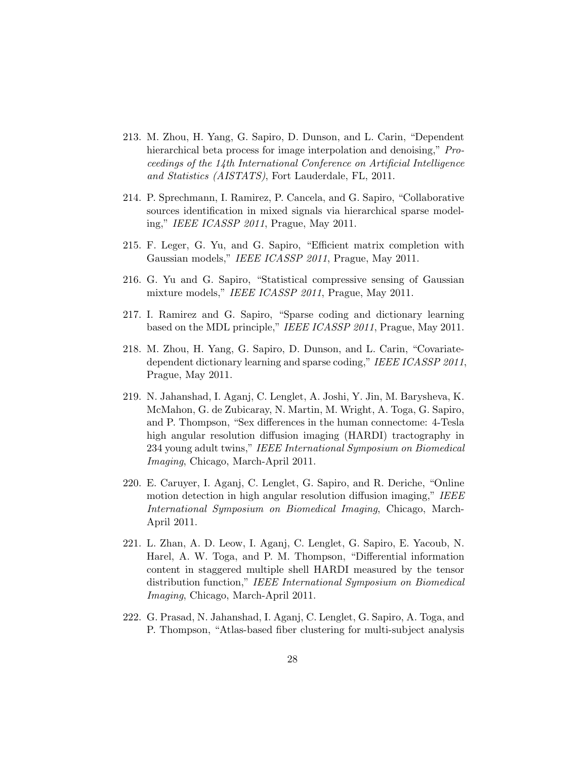- 213. M. Zhou, H. Yang, G. Sapiro, D. Dunson, and L. Carin, "Dependent hierarchical beta process for image interpolation and denoising," *Pro*ceedings of the 14th International Conference on Artificial Intelligence and Statistics (AISTATS), Fort Lauderdale, FL, 2011.
- 214. P. Sprechmann, I. Ramirez, P. Cancela, and G. Sapiro, "Collaborative sources identification in mixed signals via hierarchical sparse modeling," IEEE ICASSP 2011, Prague, May 2011.
- 215. F. Leger, G. Yu, and G. Sapiro, "Efficient matrix completion with Gaussian models," IEEE ICASSP 2011, Prague, May 2011.
- 216. G. Yu and G. Sapiro, "Statistical compressive sensing of Gaussian mixture models," IEEE ICASSP 2011, Prague, May 2011.
- 217. I. Ramirez and G. Sapiro, "Sparse coding and dictionary learning based on the MDL principle," IEEE ICASSP 2011, Prague, May 2011.
- 218. M. Zhou, H. Yang, G. Sapiro, D. Dunson, and L. Carin, "Covariatedependent dictionary learning and sparse coding," IEEE ICASSP 2011, Prague, May 2011.
- 219. N. Jahanshad, I. Aganj, C. Lenglet, A. Joshi, Y. Jin, M. Barysheva, K. McMahon, G. de Zubicaray, N. Martin, M. Wright, A. Toga, G. Sapiro, and P. Thompson, "Sex differences in the human connectome: 4-Tesla high angular resolution diffusion imaging (HARDI) tractography in 234 young adult twins," IEEE International Symposium on Biomedical Imaging, Chicago, March-April 2011.
- 220. E. Caruyer, I. Aganj, C. Lenglet, G. Sapiro, and R. Deriche, "Online motion detection in high angular resolution diffusion imaging," IEEE International Symposium on Biomedical Imaging, Chicago, March-April 2011.
- 221. L. Zhan, A. D. Leow, I. Aganj, C. Lenglet, G. Sapiro, E. Yacoub, N. Harel, A. W. Toga, and P. M. Thompson, "Differential information content in staggered multiple shell HARDI measured by the tensor distribution function," IEEE International Symposium on Biomedical Imaging, Chicago, March-April 2011.
- 222. G. Prasad, N. Jahanshad, I. Aganj, C. Lenglet, G. Sapiro, A. Toga, and P. Thompson, "Atlas-based fiber clustering for multi-subject analysis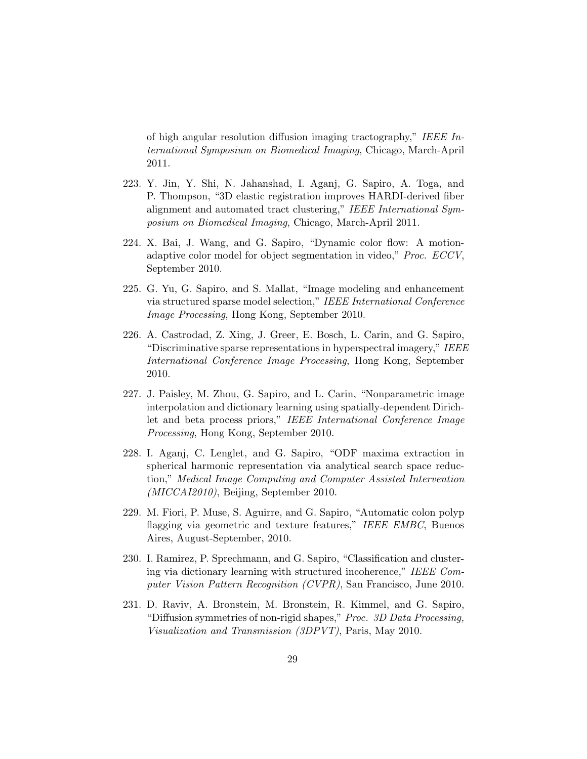of high angular resolution diffusion imaging tractography," IEEE International Symposium on Biomedical Imaging, Chicago, March-April 2011.

- 223. Y. Jin, Y. Shi, N. Jahanshad, I. Aganj, G. Sapiro, A. Toga, and P. Thompson, "3D elastic registration improves HARDI-derived fiber alignment and automated tract clustering," IEEE International Symposium on Biomedical Imaging, Chicago, March-April 2011.
- 224. X. Bai, J. Wang, and G. Sapiro, "Dynamic color flow: A motionadaptive color model for object segmentation in video," Proc. ECCV, September 2010.
- 225. G. Yu, G. Sapiro, and S. Mallat, "Image modeling and enhancement via structured sparse model selection," IEEE International Conference Image Processing, Hong Kong, September 2010.
- 226. A. Castrodad, Z. Xing, J. Greer, E. Bosch, L. Carin, and G. Sapiro, "Discriminative sparse representations in hyperspectral imagery," IEEE International Conference Image Processing, Hong Kong, September 2010.
- 227. J. Paisley, M. Zhou, G. Sapiro, and L. Carin, "Nonparametric image interpolation and dictionary learning using spatially-dependent Dirichlet and beta process priors," IEEE International Conference Image Processing, Hong Kong, September 2010.
- 228. I. Aganj, C. Lenglet, and G. Sapiro, "ODF maxima extraction in spherical harmonic representation via analytical search space reduction," Medical Image Computing and Computer Assisted Intervention (MICCAI2010), Beijing, September 2010.
- 229. M. Fiori, P. Muse, S. Aguirre, and G. Sapiro, "Automatic colon polyp flagging via geometric and texture features," IEEE EMBC, Buenos Aires, August-September, 2010.
- 230. I. Ramirez, P. Sprechmann, and G. Sapiro, "Classification and clustering via dictionary learning with structured incoherence," IEEE Computer Vision Pattern Recognition (CVPR), San Francisco, June 2010.
- 231. D. Raviv, A. Bronstein, M. Bronstein, R. Kimmel, and G. Sapiro, "Diffusion symmetries of non-rigid shapes," Proc. 3D Data Processing, Visualization and Transmission (3DPVT), Paris, May 2010.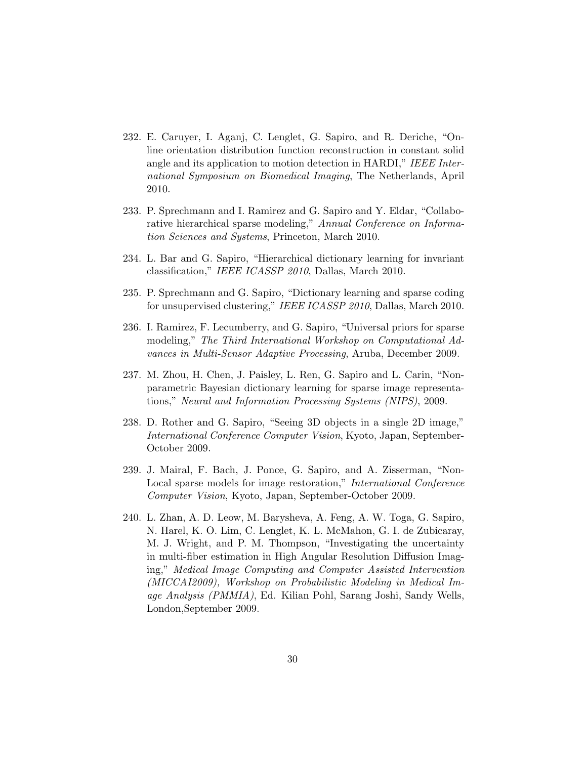- 232. E. Caruyer, I. Aganj, C. Lenglet, G. Sapiro, and R. Deriche, "Online orientation distribution function reconstruction in constant solid angle and its application to motion detection in HARDI," IEEE International Symposium on Biomedical Imaging, The Netherlands, April 2010.
- 233. P. Sprechmann and I. Ramirez and G. Sapiro and Y. Eldar, "Collaborative hierarchical sparse modeling," Annual Conference on Information Sciences and Systems, Princeton, March 2010.
- 234. L. Bar and G. Sapiro, "Hierarchical dictionary learning for invariant classification," IEEE ICASSP 2010, Dallas, March 2010.
- 235. P. Sprechmann and G. Sapiro, "Dictionary learning and sparse coding for unsupervised clustering," IEEE ICASSP 2010, Dallas, March 2010.
- 236. I. Ramirez, F. Lecumberry, and G. Sapiro, "Universal priors for sparse modeling," The Third International Workshop on Computational Advances in Multi-Sensor Adaptive Processing, Aruba, December 2009.
- 237. M. Zhou, H. Chen, J. Paisley, L. Ren, G. Sapiro and L. Carin, "Nonparametric Bayesian dictionary learning for sparse image representations," Neural and Information Processing Systems (NIPS), 2009.
- 238. D. Rother and G. Sapiro, "Seeing 3D objects in a single 2D image," International Conference Computer Vision, Kyoto, Japan, September-October 2009.
- 239. J. Mairal, F. Bach, J. Ponce, G. Sapiro, and A. Zisserman, "Non-Local sparse models for image restoration," *International Conference* Computer Vision, Kyoto, Japan, September-October 2009.
- 240. L. Zhan, A. D. Leow, M. Barysheva, A. Feng, A. W. Toga, G. Sapiro, N. Harel, K. O. Lim, C. Lenglet, K. L. McMahon, G. I. de Zubicaray, M. J. Wright, and P. M. Thompson, "Investigating the uncertainty in multi-fiber estimation in High Angular Resolution Diffusion Imaging," Medical Image Computing and Computer Assisted Intervention (MICCAI2009), Workshop on Probabilistic Modeling in Medical Image Analysis (PMMIA), Ed. Kilian Pohl, Sarang Joshi, Sandy Wells, London,September 2009.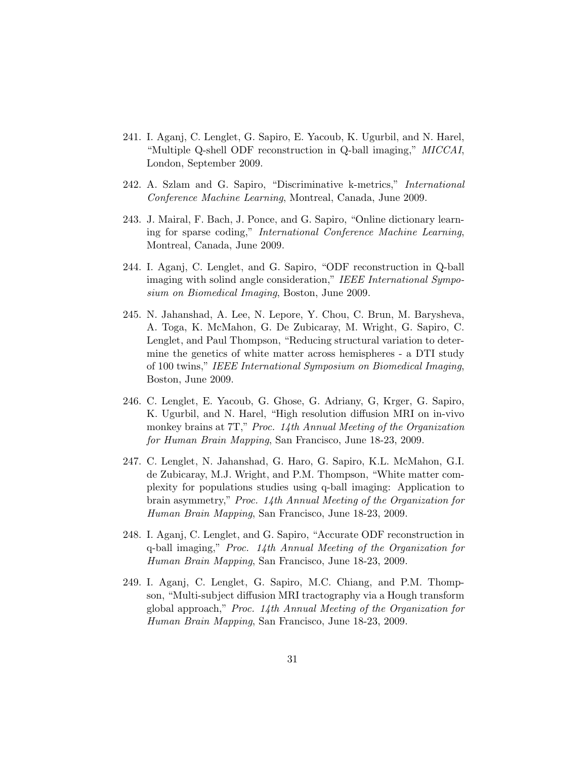- 241. I. Aganj, C. Lenglet, G. Sapiro, E. Yacoub, K. Ugurbil, and N. Harel, "Multiple Q-shell ODF reconstruction in Q-ball imaging," MICCAI, London, September 2009.
- 242. A. Szlam and G. Sapiro, "Discriminative k-metrics," International Conference Machine Learning, Montreal, Canada, June 2009.
- 243. J. Mairal, F. Bach, J. Ponce, and G. Sapiro, "Online dictionary learning for sparse coding," International Conference Machine Learning, Montreal, Canada, June 2009.
- 244. I. Aganj, C. Lenglet, and G. Sapiro, "ODF reconstruction in Q-ball imaging with solind angle consideration," IEEE International Symposium on Biomedical Imaging, Boston, June 2009.
- 245. N. Jahanshad, A. Lee, N. Lepore, Y. Chou, C. Brun, M. Barysheva, A. Toga, K. McMahon, G. De Zubicaray, M. Wright, G. Sapiro, C. Lenglet, and Paul Thompson, "Reducing structural variation to determine the genetics of white matter across hemispheres - a DTI study of 100 twins," IEEE International Symposium on Biomedical Imaging, Boston, June 2009.
- 246. C. Lenglet, E. Yacoub, G. Ghose, G. Adriany, G, Krger, G. Sapiro, K. Ugurbil, and N. Harel, "High resolution diffusion MRI on in-vivo monkey brains at 7T," Proc. 14th Annual Meeting of the Organization for Human Brain Mapping, San Francisco, June 18-23, 2009.
- 247. C. Lenglet, N. Jahanshad, G. Haro, G. Sapiro, K.L. McMahon, G.I. de Zubicaray, M.J. Wright, and P.M. Thompson, "White matter complexity for populations studies using q-ball imaging: Application to brain asymmetry," Proc. 14th Annual Meeting of the Organization for Human Brain Mapping, San Francisco, June 18-23, 2009.
- 248. I. Aganj, C. Lenglet, and G. Sapiro, "Accurate ODF reconstruction in q-ball imaging," Proc. 14th Annual Meeting of the Organization for Human Brain Mapping, San Francisco, June 18-23, 2009.
- 249. I. Aganj, C. Lenglet, G. Sapiro, M.C. Chiang, and P.M. Thompson, "Multi-subject diffusion MRI tractography via a Hough transform global approach," Proc. 14th Annual Meeting of the Organization for Human Brain Mapping, San Francisco, June 18-23, 2009.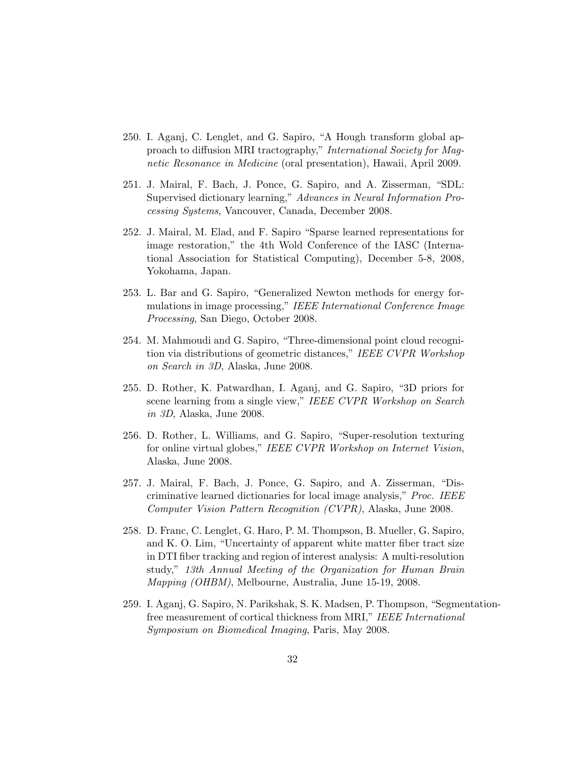- 250. I. Aganj, C. Lenglet, and G. Sapiro, "A Hough transform global approach to diffusion MRI tractography," International Society for Magnetic Resonance in Medicine (oral presentation), Hawaii, April 2009.
- 251. J. Mairal, F. Bach, J. Ponce, G. Sapiro, and A. Zisserman, "SDL: Supervised dictionary learning," Advances in Neural Information Processing Systems, Vancouver, Canada, December 2008.
- 252. J. Mairal, M. Elad, and F. Sapiro "Sparse learned representations for image restoration," the 4th Wold Conference of the IASC (International Association for Statistical Computing), December 5-8, 2008, Yokohama, Japan.
- 253. L. Bar and G. Sapiro, "Generalized Newton methods for energy formulations in image processing," IEEE International Conference Image Processing, San Diego, October 2008.
- 254. M. Mahmoudi and G. Sapiro, "Three-dimensional point cloud recognition via distributions of geometric distances," IEEE CVPR Workshop on Search in 3D, Alaska, June 2008.
- 255. D. Rother, K. Patwardhan, I. Aganj, and G. Sapiro, "3D priors for scene learning from a single view," IEEE CVPR Workshop on Search in 3D, Alaska, June 2008.
- 256. D. Rother, L. Williams, and G. Sapiro, "Super-resolution texturing for online virtual globes," IEEE CVPR Workshop on Internet Vision, Alaska, June 2008.
- 257. J. Mairal, F. Bach, J. Ponce, G. Sapiro, and A. Zisserman, "Discriminative learned dictionaries for local image analysis," Proc. IEEE Computer Vision Pattern Recognition (CVPR), Alaska, June 2008.
- 258. D. Franc, C. Lenglet, G. Haro, P. M. Thompson, B. Mueller, G. Sapiro, and K. O. Lim, "Uncertainty of apparent white matter fiber tract size in DTI fiber tracking and region of interest analysis: A multi-resolution study," 13th Annual Meeting of the Organization for Human Brain Mapping (OHBM), Melbourne, Australia, June 15-19, 2008.
- 259. I. Aganj, G. Sapiro, N. Parikshak, S. K. Madsen, P. Thompson, "Segmentationfree measurement of cortical thickness from MRI," IEEE International Symposium on Biomedical Imaging, Paris, May 2008.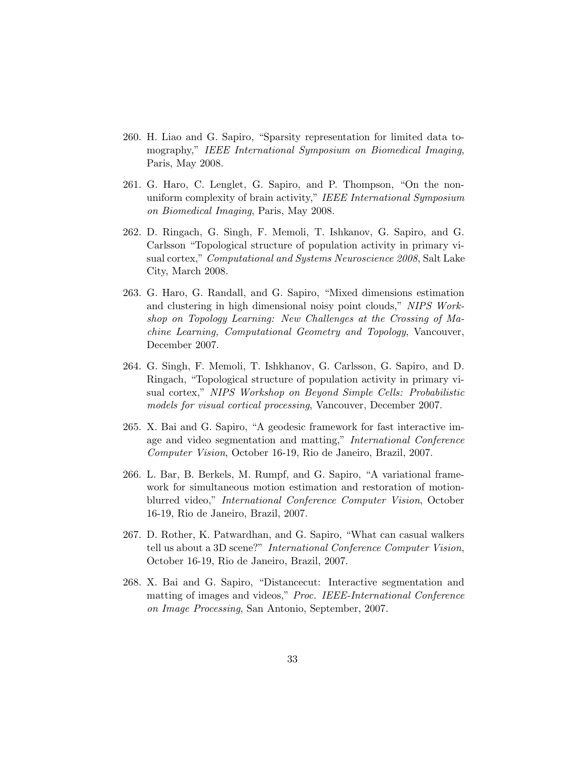- 260. H. Liao and G. Sapiro, "Sparsity representation for limited data tomography," IEEE International Symposium on Biomedical Imaging, Paris, May 2008.
- 261. G. Haro, C. Lenglet, G. Sapiro, and P. Thompson, "On the nonuniform complexity of brain activity," IEEE International Symposium on Biomedical Imaging, Paris, May 2008.
- 262. D. Ringach, G. Singh, F. Memoli, T. Ishkanov, G. Sapiro, and G. Carlsson "Topological structure of population activity in primary visual cortex," Computational and Systems Neuroscience 2008, Salt Lake City, March 2008.
- 263. G. Haro, G. Randall, and G. Sapiro, "Mixed dimensions estimation and clustering in high dimensional noisy point clouds," NIPS Workshop on Topology Learning: New Challenges at the Crossing of Machine Learning, Computational Geometry and Topology, Vancouver, December 2007.
- 264. G. Singh, F. Memoli, T. Ishkhanov, G. Carlsson, G. Sapiro, and D. Ringach, "Topological structure of population activity in primary visual cortex," NIPS Workshop on Beyond Simple Cells: Probabilistic models for visual cortical processing, Vancouver, December 2007.
- 265. X. Bai and G. Sapiro, "A geodesic framework for fast interactive image and video segmentation and matting," International Conference Computer Vision, October 16-19, Rio de Janeiro, Brazil, 2007.
- 266. L. Bar, B. Berkels, M. Rumpf, and G. Sapiro, "A variational framework for simultaneous motion estimation and restoration of motionblurred video," International Conference Computer Vision, October 16-19, Rio de Janeiro, Brazil, 2007.
- 267. D. Rother, K. Patwardhan, and G. Sapiro, "What can casual walkers tell us about a 3D scene?" International Conference Computer Vision, October 16-19, Rio de Janeiro, Brazil, 2007.
- 268. X. Bai and G. Sapiro, "Distancecut: Interactive segmentation and matting of images and videos," Proc. IEEE-International Conference on Image Processing, San Antonio, September, 2007.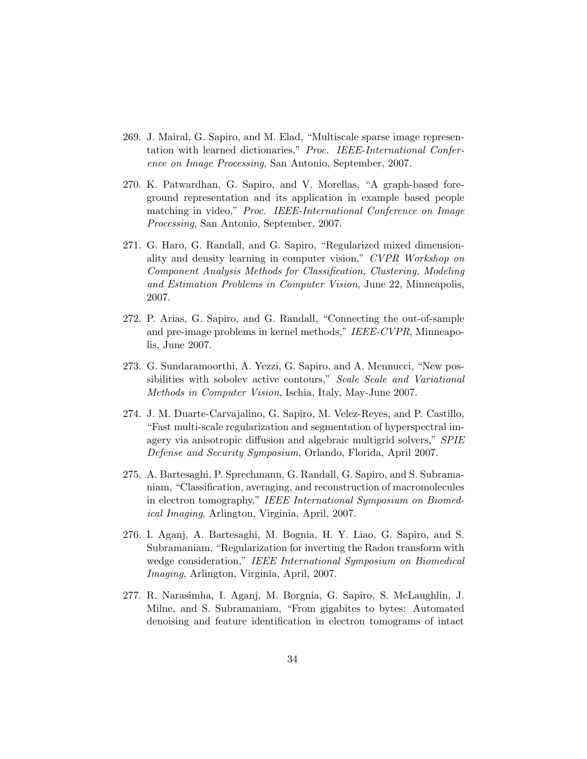- 269. J. Mairal, G. Sapiro, and M. Elad, "Multiscale sparse image representation with learned dictionaries," Proc. IEEE-International Conference on Image Processing, San Antonio, September, 2007.
- 270. K. Patwardhan, G. Sapiro, and V. Morellas, "A graph-based foreground representation and its application in example based people matching in video," Proc. IEEE-International Conference on Image Processing, San Antonio, September, 2007.
- 271. G. Haro, G. Randall, and G. Sapiro, "Regularized mixed dimensionality and density learning in computer vision," CVPR Workshop on Component Analysis Methods for Classification, Clustering, Modeling and Estimation Problems in Computer Vision, June 22, Minneapolis, 2007.
- 272. P. Arias, G. Sapiro, and G. Randall, "Connecting the out-of-sample and pre-image problems in kernel methods," IEEE-CVPR, Minneapolis, June 2007.
- 273. G. Sundaramoorthi, A. Yezzi, G. Sapiro, and A. Mennucci, "New possibilities with sobolev active contours," Scale Scale and Variational Methods in Computer Vision, Ischia, Italy, May-June 2007.
- 274. J. M. Duarte-Carvajalino, G. Sapiro, M. Velez-Reyes, and P. Castillo, "Fast multi-scale regularization and segmentation of hyperspectral imagery via anisotropic diffusion and algebraic multigrid solvers," SPIE Defense and Security Symposium, Orlando, Florida, April 2007.
- 275. A. Bartesaghi, P. Sprechmann, G. Randall, G. Sapiro, and S. Subramaniam, "Classification, averaging, and reconstruction of macromolecules in electron tomography," IEEE International Symposium on Biomedical Imaging, Arlington, Virginia, April, 2007.
- 276. I. Aganj, A. Bartesaghi, M. Bognia, H. Y. Liao, G. Sapiro, and S. Subramaniam, "Regularization for inverting the Radon transform with wedge consideration," IEEE International Symposium on Biomedical Imaging, Arlington, Virginia, April, 2007.
- 277. R. Narasimha, I. Aganj, M. Borgnia, G. Sapiro, S. McLaughlin, J. Milne, and S. Subramaniam, "From gigabites to bytes: Automated denoising and feature identification in electron tomograms of intact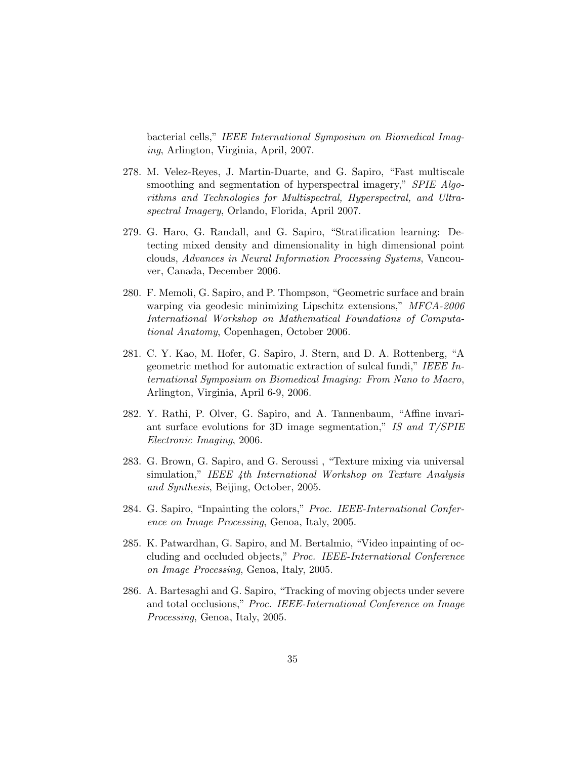bacterial cells," IEEE International Symposium on Biomedical Imaging, Arlington, Virginia, April, 2007.

- 278. M. Velez-Reyes, J. Martin-Duarte, and G. Sapiro, "Fast multiscale smoothing and segmentation of hyperspectral imagery," SPIE Algorithms and Technologies for Multispectral, Hyperspectral, and Ultraspectral Imagery, Orlando, Florida, April 2007.
- 279. G. Haro, G. Randall, and G. Sapiro, "Stratification learning: Detecting mixed density and dimensionality in high dimensional point clouds, Advances in Neural Information Processing Systems, Vancouver, Canada, December 2006.
- 280. F. Memoli, G. Sapiro, and P. Thompson, "Geometric surface and brain warping via geodesic minimizing Lipschitz extensions," MFCA-2006 International Workshop on Mathematical Foundations of Computational Anatomy, Copenhagen, October 2006.
- 281. C. Y. Kao, M. Hofer, G. Sapiro, J. Stern, and D. A. Rottenberg, "A geometric method for automatic extraction of sulcal fundi," IEEE International Symposium on Biomedical Imaging: From Nano to Macro, Arlington, Virginia, April 6-9, 2006.
- 282. Y. Rathi, P. Olver, G. Sapiro, and A. Tannenbaum, "Affine invariant surface evolutions for 3D image segmentation," IS and  $T/SPIE$ Electronic Imaging, 2006.
- 283. G. Brown, G. Sapiro, and G. Seroussi , "Texture mixing via universal simulation," IEEE 4th International Workshop on Texture Analysis and Synthesis, Beijing, October, 2005.
- 284. G. Sapiro, "Inpainting the colors," Proc. IEEE-International Conference on Image Processing, Genoa, Italy, 2005.
- 285. K. Patwardhan, G. Sapiro, and M. Bertalmio, "Video inpainting of occluding and occluded objects," Proc. IEEE-International Conference on Image Processing, Genoa, Italy, 2005.
- 286. A. Bartesaghi and G. Sapiro, "Tracking of moving objects under severe and total occlusions," Proc. IEEE-International Conference on Image Processing, Genoa, Italy, 2005.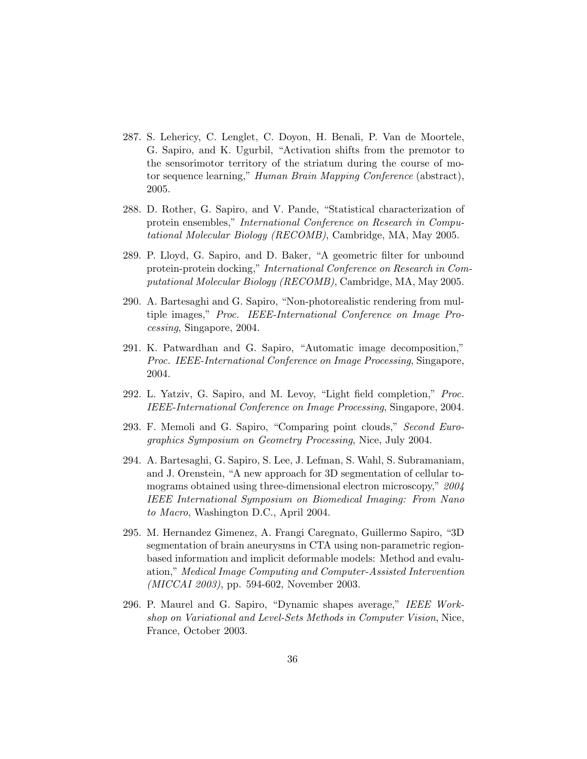- 287. S. Lehericy, C. Lenglet, C. Doyon, H. Benali, P. Van de Moortele, G. Sapiro, and K. Ugurbil, "Activation shifts from the premotor to the sensorimotor territory of the striatum during the course of motor sequence learning," Human Brain Mapping Conference (abstract), 2005.
- 288. D. Rother, G. Sapiro, and V. Pande, "Statistical characterization of protein ensembles," International Conference on Research in Computational Molecular Biology (RECOMB), Cambridge, MA, May 2005.
- 289. P. Lloyd, G. Sapiro, and D. Baker, "A geometric filter for unbound protein-protein docking," International Conference on Research in Computational Molecular Biology (RECOMB), Cambridge, MA, May 2005.
- 290. A. Bartesaghi and G. Sapiro, "Non-photorealistic rendering from multiple images," Proc. IEEE-International Conference on Image Processing, Singapore, 2004.
- 291. K. Patwardhan and G. Sapiro, "Automatic image decomposition," Proc. IEEE-International Conference on Image Processing, Singapore, 2004.
- 292. L. Yatziv, G. Sapiro, and M. Levoy, "Light field completion," Proc. IEEE-International Conference on Image Processing, Singapore, 2004.
- 293. F. Memoli and G. Sapiro, "Comparing point clouds," Second Eurographics Symposium on Geometry Processing, Nice, July 2004.
- 294. A. Bartesaghi, G. Sapiro, S. Lee, J. Lefman, S. Wahl, S. Subramaniam, and J. Orenstein, "A new approach for 3D segmentation of cellular tomograms obtained using three-dimensional electron microscopy," 2004 IEEE International Symposium on Biomedical Imaging: From Nano to Macro, Washington D.C., April 2004.
- 295. M. Hernandez Gimenez, A. Frangi Caregnato, Guillermo Sapiro, "3D segmentation of brain aneurysms in CTA using non-parametric regionbased information and implicit deformable models: Method and evaluation," Medical Image Computing and Computer-Assisted Intervention (MICCAI 2003), pp. 594-602, November 2003.
- 296. P. Maurel and G. Sapiro, "Dynamic shapes average," IEEE Workshop on Variational and Level-Sets Methods in Computer Vision, Nice, France, October 2003.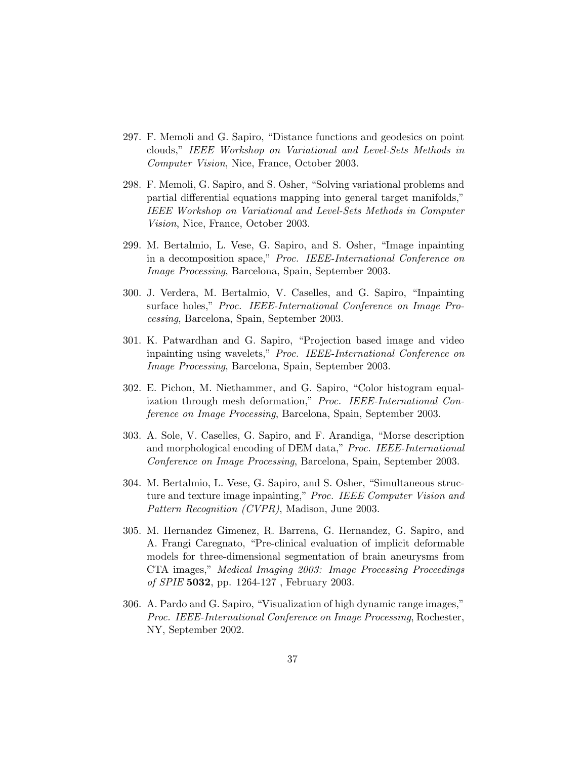- 297. F. Memoli and G. Sapiro, "Distance functions and geodesics on point clouds," IEEE Workshop on Variational and Level-Sets Methods in Computer Vision, Nice, France, October 2003.
- 298. F. Memoli, G. Sapiro, and S. Osher, "Solving variational problems and partial differential equations mapping into general target manifolds," IEEE Workshop on Variational and Level-Sets Methods in Computer Vision, Nice, France, October 2003.
- 299. M. Bertalmio, L. Vese, G. Sapiro, and S. Osher, "Image inpainting in a decomposition space," Proc. IEEE-International Conference on Image Processing, Barcelona, Spain, September 2003.
- 300. J. Verdera, M. Bertalmio, V. Caselles, and G. Sapiro, "Inpainting surface holes," Proc. IEEE-International Conference on Image Processing, Barcelona, Spain, September 2003.
- 301. K. Patwardhan and G. Sapiro, "Projection based image and video inpainting using wavelets," Proc. IEEE-International Conference on Image Processing, Barcelona, Spain, September 2003.
- 302. E. Pichon, M. Niethammer, and G. Sapiro, "Color histogram equalization through mesh deformation," Proc. IEEE-International Conference on Image Processing, Barcelona, Spain, September 2003.
- 303. A. Sole, V. Caselles, G. Sapiro, and F. Arandiga, "Morse description and morphological encoding of DEM data," Proc. IEEE-International Conference on Image Processing, Barcelona, Spain, September 2003.
- 304. M. Bertalmio, L. Vese, G. Sapiro, and S. Osher, "Simultaneous structure and texture image inpainting," Proc. IEEE Computer Vision and Pattern Recognition (CVPR), Madison, June 2003.
- 305. M. Hernandez Gimenez, R. Barrena, G. Hernandez, G. Sapiro, and A. Frangi Caregnato, "Pre-clinical evaluation of implicit deformable models for three-dimensional segmentation of brain aneurysms from CTA images," Medical Imaging 2003: Image Processing Proceedings of SPIE 5032, pp. 1264-127 , February 2003.
- 306. A. Pardo and G. Sapiro, "Visualization of high dynamic range images," Proc. IEEE-International Conference on Image Processing, Rochester, NY, September 2002.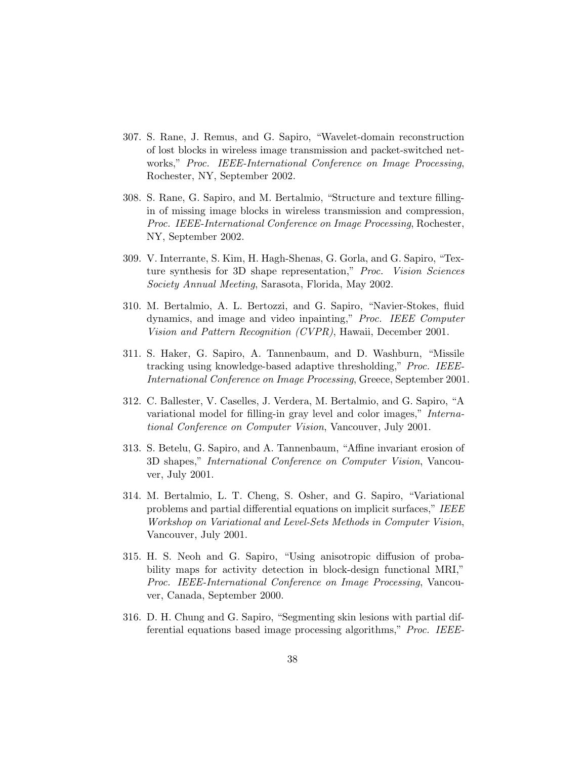- 307. S. Rane, J. Remus, and G. Sapiro, "Wavelet-domain reconstruction of lost blocks in wireless image transmission and packet-switched networks," Proc. IEEE-International Conference on Image Processing, Rochester, NY, September 2002.
- 308. S. Rane, G. Sapiro, and M. Bertalmio, "Structure and texture fillingin of missing image blocks in wireless transmission and compression, Proc. IEEE-International Conference on Image Processing, Rochester, NY, September 2002.
- 309. V. Interrante, S. Kim, H. Hagh-Shenas, G. Gorla, and G. Sapiro, "Texture synthesis for 3D shape representation," Proc. Vision Sciences Society Annual Meeting, Sarasota, Florida, May 2002.
- 310. M. Bertalmio, A. L. Bertozzi, and G. Sapiro, "Navier-Stokes, fluid dynamics, and image and video inpainting," Proc. IEEE Computer Vision and Pattern Recognition (CVPR), Hawaii, December 2001.
- 311. S. Haker, G. Sapiro, A. Tannenbaum, and D. Washburn, "Missile tracking using knowledge-based adaptive thresholding," Proc. IEEE-International Conference on Image Processing, Greece, September 2001.
- 312. C. Ballester, V. Caselles, J. Verdera, M. Bertalmio, and G. Sapiro, "A variational model for filling-in gray level and color images," International Conference on Computer Vision, Vancouver, July 2001.
- 313. S. Betelu, G. Sapiro, and A. Tannenbaum, "Affine invariant erosion of 3D shapes," International Conference on Computer Vision, Vancouver, July 2001.
- 314. M. Bertalmio, L. T. Cheng, S. Osher, and G. Sapiro, "Variational problems and partial differential equations on implicit surfaces," IEEE Workshop on Variational and Level-Sets Methods in Computer Vision, Vancouver, July 2001.
- 315. H. S. Neoh and G. Sapiro, "Using anisotropic diffusion of probability maps for activity detection in block-design functional MRI," Proc. IEEE-International Conference on Image Processing, Vancouver, Canada, September 2000.
- 316. D. H. Chung and G. Sapiro, "Segmenting skin lesions with partial differential equations based image processing algorithms," Proc. IEEE-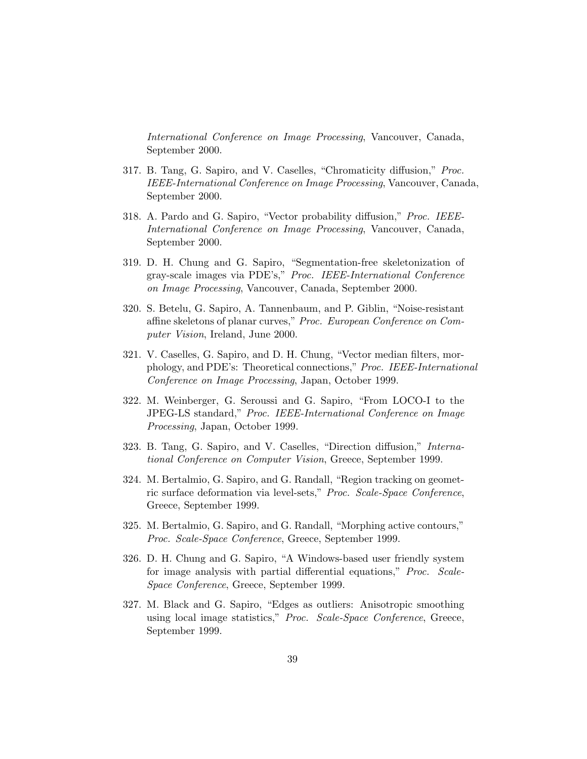International Conference on Image Processing, Vancouver, Canada, September 2000.

- 317. B. Tang, G. Sapiro, and V. Caselles, "Chromaticity diffusion," Proc. IEEE-International Conference on Image Processing, Vancouver, Canada, September 2000.
- 318. A. Pardo and G. Sapiro, "Vector probability diffusion," Proc. IEEE-International Conference on Image Processing, Vancouver, Canada, September 2000.
- 319. D. H. Chung and G. Sapiro, "Segmentation-free skeletonization of gray-scale images via PDE's," Proc. IEEE-International Conference on Image Processing, Vancouver, Canada, September 2000.
- 320. S. Betelu, G. Sapiro, A. Tannenbaum, and P. Giblin, "Noise-resistant affine skeletons of planar curves," Proc. European Conference on Computer Vision, Ireland, June 2000.
- 321. V. Caselles, G. Sapiro, and D. H. Chung, "Vector median filters, morphology, and PDE's: Theoretical connections," Proc. IEEE-International Conference on Image Processing, Japan, October 1999.
- 322. M. Weinberger, G. Seroussi and G. Sapiro, "From LOCO-I to the JPEG-LS standard," Proc. IEEE-International Conference on Image Processing, Japan, October 1999.
- 323. B. Tang, G. Sapiro, and V. Caselles, "Direction diffusion," International Conference on Computer Vision, Greece, September 1999.
- 324. M. Bertalmio, G. Sapiro, and G. Randall, "Region tracking on geometric surface deformation via level-sets," Proc. Scale-Space Conference, Greece, September 1999.
- 325. M. Bertalmio, G. Sapiro, and G. Randall, "Morphing active contours," Proc. Scale-Space Conference, Greece, September 1999.
- 326. D. H. Chung and G. Sapiro, "A Windows-based user friendly system for image analysis with partial differential equations," *Proc.* Scale-Space Conference, Greece, September 1999.
- 327. M. Black and G. Sapiro, "Edges as outliers: Anisotropic smoothing using local image statistics," Proc. Scale-Space Conference, Greece, September 1999.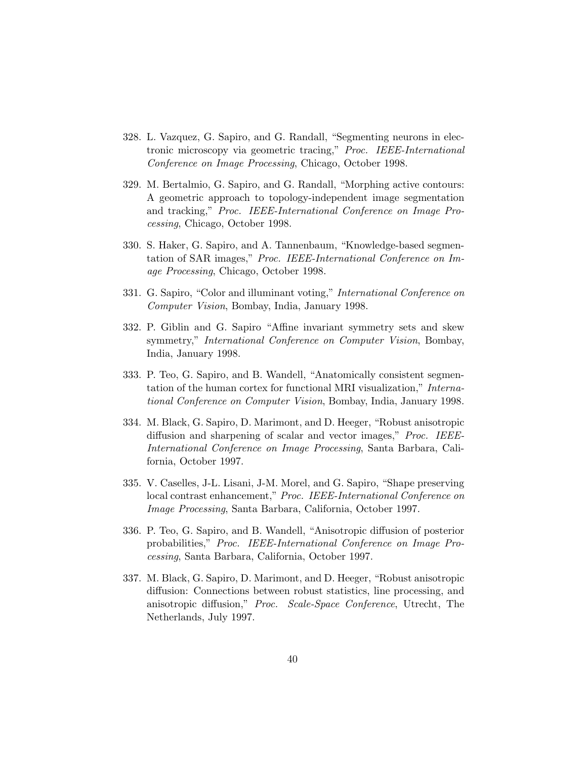- 328. L. Vazquez, G. Sapiro, and G. Randall, "Segmenting neurons in electronic microscopy via geometric tracing," Proc. IEEE-International Conference on Image Processing, Chicago, October 1998.
- 329. M. Bertalmio, G. Sapiro, and G. Randall, "Morphing active contours: A geometric approach to topology-independent image segmentation and tracking," Proc. IEEE-International Conference on Image Processing, Chicago, October 1998.
- 330. S. Haker, G. Sapiro, and A. Tannenbaum, "Knowledge-based segmentation of SAR images," Proc. IEEE-International Conference on Image Processing, Chicago, October 1998.
- 331. G. Sapiro, "Color and illuminant voting," International Conference on Computer Vision, Bombay, India, January 1998.
- 332. P. Giblin and G. Sapiro "Affine invariant symmetry sets and skew symmetry," *International Conference on Computer Vision*, Bombay, India, January 1998.
- 333. P. Teo, G. Sapiro, and B. Wandell, "Anatomically consistent segmentation of the human cortex for functional MRI visualization," International Conference on Computer Vision, Bombay, India, January 1998.
- 334. M. Black, G. Sapiro, D. Marimont, and D. Heeger, "Robust anisotropic diffusion and sharpening of scalar and vector images," *Proc. IEEE*-International Conference on Image Processing, Santa Barbara, California, October 1997.
- 335. V. Caselles, J-L. Lisani, J-M. Morel, and G. Sapiro, "Shape preserving local contrast enhancement," Proc. IEEE-International Conference on Image Processing, Santa Barbara, California, October 1997.
- 336. P. Teo, G. Sapiro, and B. Wandell, "Anisotropic diffusion of posterior probabilities," Proc. IEEE-International Conference on Image Processing, Santa Barbara, California, October 1997.
- 337. M. Black, G. Sapiro, D. Marimont, and D. Heeger, "Robust anisotropic diffusion: Connections between robust statistics, line processing, and anisotropic diffusion," Proc. Scale-Space Conference, Utrecht, The Netherlands, July 1997.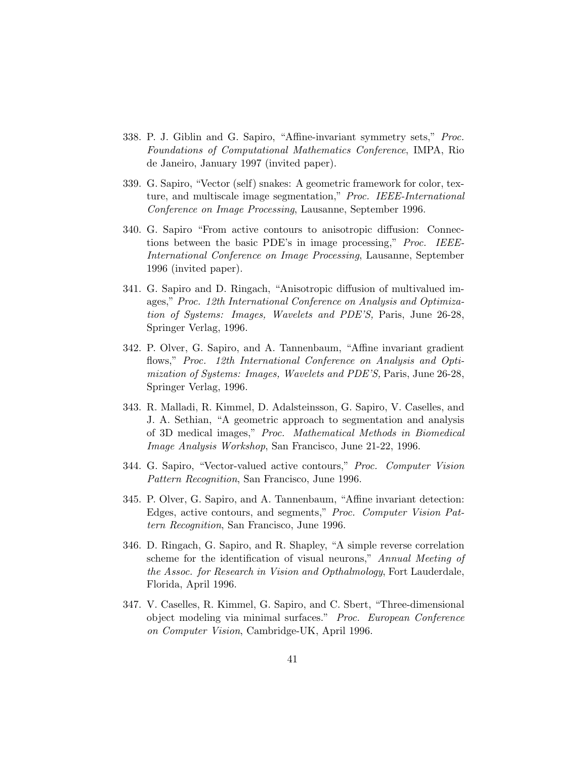- 338. P. J. Giblin and G. Sapiro, "Affine-invariant symmetry sets," Proc. Foundations of Computational Mathematics Conference, IMPA, Rio de Janeiro, January 1997 (invited paper).
- 339. G. Sapiro, "Vector (self) snakes: A geometric framework for color, texture, and multiscale image segmentation," Proc. IEEE-International Conference on Image Processing, Lausanne, September 1996.
- 340. G. Sapiro "From active contours to anisotropic diffusion: Connections between the basic PDE's in image processing," Proc. IEEE-International Conference on Image Processing, Lausanne, September 1996 (invited paper).
- 341. G. Sapiro and D. Ringach, "Anisotropic diffusion of multivalued images," Proc. 12th International Conference on Analysis and Optimization of Systems: Images, Wavelets and PDE'S, Paris, June 26-28, Springer Verlag, 1996.
- 342. P. Olver, G. Sapiro, and A. Tannenbaum, "Affine invariant gradient flows," Proc. 12th International Conference on Analysis and Optimization of Systems: Images, Wavelets and PDE'S, Paris, June 26-28, Springer Verlag, 1996.
- 343. R. Malladi, R. Kimmel, D. Adalsteinsson, G. Sapiro, V. Caselles, and J. A. Sethian, "A geometric approach to segmentation and analysis of 3D medical images," Proc. Mathematical Methods in Biomedical Image Analysis Workshop, San Francisco, June 21-22, 1996.
- 344. G. Sapiro, "Vector-valued active contours," Proc. Computer Vision Pattern Recognition, San Francisco, June 1996.
- 345. P. Olver, G. Sapiro, and A. Tannenbaum, "Affine invariant detection: Edges, active contours, and segments," Proc. Computer Vision Pattern Recognition, San Francisco, June 1996.
- 346. D. Ringach, G. Sapiro, and R. Shapley, "A simple reverse correlation scheme for the identification of visual neurons," Annual Meeting of the Assoc. for Research in Vision and Opthalmology, Fort Lauderdale, Florida, April 1996.
- 347. V. Caselles, R. Kimmel, G. Sapiro, and C. Sbert, "Three-dimensional object modeling via minimal surfaces." Proc. European Conference on Computer Vision, Cambridge-UK, April 1996.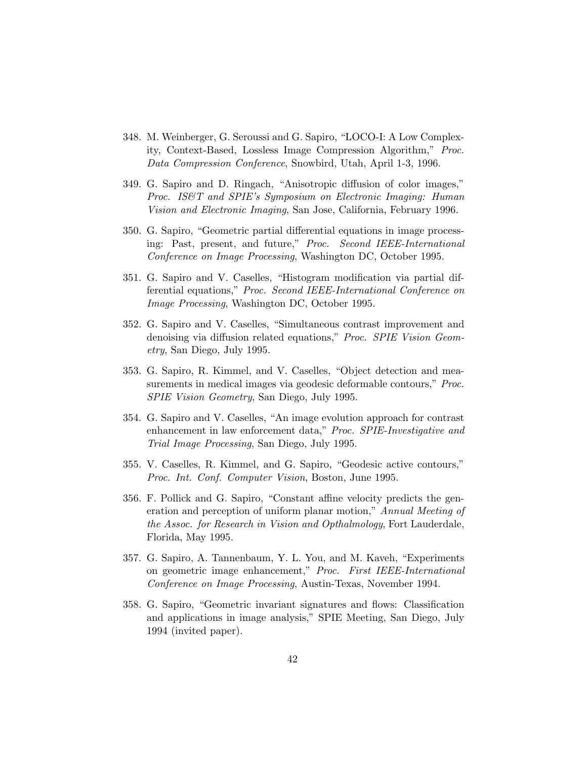- 348. M. Weinberger, G. Seroussi and G. Sapiro, "LOCO-I: A Low Complexity, Context-Based, Lossless Image Compression Algorithm," Proc. Data Compression Conference, Snowbird, Utah, April 1-3, 1996.
- 349. G. Sapiro and D. Ringach, "Anisotropic diffusion of color images," Proc. IS&T and SPIE's Symposium on Electronic Imaging: Human Vision and Electronic Imaging, San Jose, California, February 1996.
- 350. G. Sapiro, "Geometric partial differential equations in image processing: Past, present, and future," Proc. Second IEEE-International Conference on Image Processing, Washington DC, October 1995.
- 351. G. Sapiro and V. Caselles, "Histogram modification via partial differential equations," Proc. Second IEEE-International Conference on Image Processing, Washington DC, October 1995.
- 352. G. Sapiro and V. Caselles, "Simultaneous contrast improvement and denoising via diffusion related equations," Proc. SPIE Vision Geometry, San Diego, July 1995.
- 353. G. Sapiro, R. Kimmel, and V. Caselles, "Object detection and measurements in medical images via geodesic deformable contours," Proc. SPIE Vision Geometry, San Diego, July 1995.
- 354. G. Sapiro and V. Caselles, "An image evolution approach for contrast enhancement in law enforcement data," Proc. SPIE-Investigative and Trial Image Processing, San Diego, July 1995.
- 355. V. Caselles, R. Kimmel, and G. Sapiro, "Geodesic active contours," Proc. Int. Conf. Computer Vision, Boston, June 1995.
- 356. F. Pollick and G. Sapiro, "Constant affine velocity predicts the generation and perception of uniform planar motion," Annual Meeting of the Assoc. for Research in Vision and Opthalmology, Fort Lauderdale, Florida, May 1995.
- 357. G. Sapiro, A. Tannenbaum, Y. L. You, and M. Kaveh, "Experiments on geometric image enhancement," Proc. First IEEE-International Conference on Image Processing, Austin-Texas, November 1994.
- 358. G. Sapiro, "Geometric invariant signatures and flows: Classification and applications in image analysis," SPIE Meeting, San Diego, July 1994 (invited paper).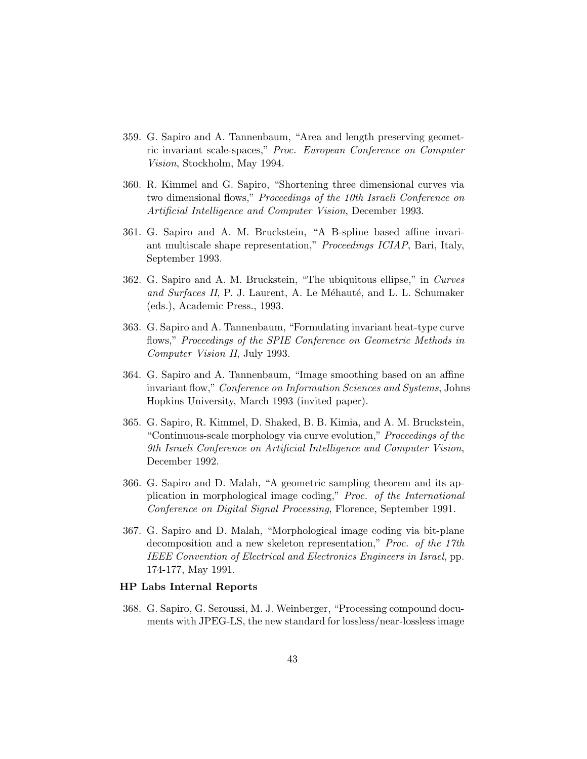- 359. G. Sapiro and A. Tannenbaum, "Area and length preserving geometric invariant scale-spaces," Proc. European Conference on Computer Vision, Stockholm, May 1994.
- 360. R. Kimmel and G. Sapiro, "Shortening three dimensional curves via two dimensional flows," Proceedings of the 10th Israeli Conference on Artificial Intelligence and Computer Vision, December 1993.
- 361. G. Sapiro and A. M. Bruckstein, "A B-spline based affine invariant multiscale shape representation," Proceedings ICIAP, Bari, Italy, September 1993.
- 362. G. Sapiro and A. M. Bruckstein, "The ubiquitous ellipse," in Curves and Surfaces II, P. J. Laurent, A. Le Méhauté, and L. L. Schumaker (eds.), Academic Press., 1993.
- 363. G. Sapiro and A. Tannenbaum, "Formulating invariant heat-type curve flows," Proceedings of the SPIE Conference on Geometric Methods in Computer Vision II, July 1993.
- 364. G. Sapiro and A. Tannenbaum, "Image smoothing based on an affine invariant flow," Conference on Information Sciences and Systems, Johns Hopkins University, March 1993 (invited paper).
- 365. G. Sapiro, R. Kimmel, D. Shaked, B. B. Kimia, and A. M. Bruckstein, "Continuous-scale morphology via curve evolution," Proceedings of the 9th Israeli Conference on Artificial Intelligence and Computer Vision, December 1992.
- 366. G. Sapiro and D. Malah, "A geometric sampling theorem and its application in morphological image coding," Proc. of the International Conference on Digital Signal Processing, Florence, September 1991.
- 367. G. Sapiro and D. Malah, "Morphological image coding via bit-plane decomposition and a new skeleton representation," Proc. of the 17th IEEE Convention of Electrical and Electronics Engineers in Israel, pp. 174-177, May 1991.

#### HP Labs Internal Reports

368. G. Sapiro, G. Seroussi, M. J. Weinberger, "Processing compound documents with JPEG-LS, the new standard for lossless/near-lossless image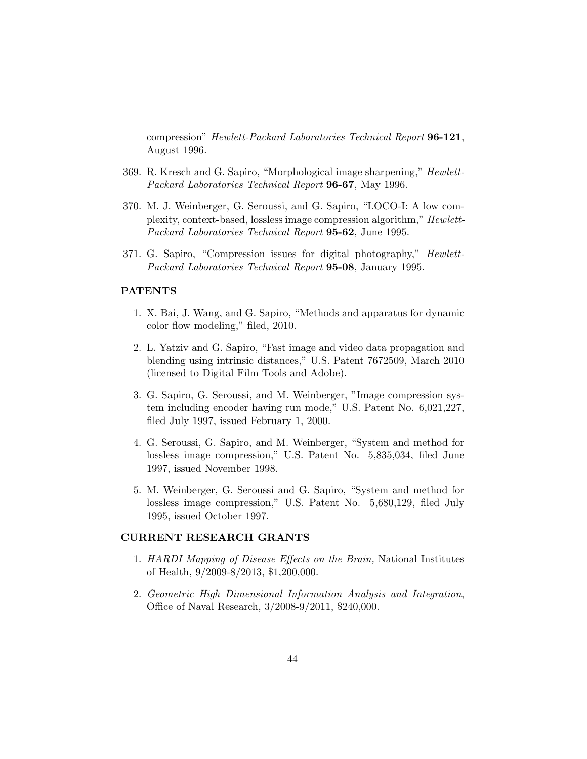compression" Hewlett-Packard Laboratories Technical Report 96-121, August 1996.

- 369. R. Kresch and G. Sapiro, "Morphological image sharpening," Hewlett-Packard Laboratories Technical Report 96-67, May 1996.
- 370. M. J. Weinberger, G. Seroussi, and G. Sapiro, "LOCO-I: A low complexity, context-based, lossless image compression algorithm," Hewlett-Packard Laboratories Technical Report 95-62, June 1995.
- 371. G. Sapiro, "Compression issues for digital photography," Hewlett-Packard Laboratories Technical Report 95-08, January 1995.

### PATENTS

- 1. X. Bai, J. Wang, and G. Sapiro, "Methods and apparatus for dynamic color flow modeling," filed, 2010.
- 2. L. Yatziv and G. Sapiro, "Fast image and video data propagation and blending using intrinsic distances," U.S. Patent 7672509, March 2010 (licensed to Digital Film Tools and Adobe).
- 3. G. Sapiro, G. Seroussi, and M. Weinberger, "Image compression system including encoder having run mode," U.S. Patent No. 6,021,227, filed July 1997, issued February 1, 2000.
- 4. G. Seroussi, G. Sapiro, and M. Weinberger, "System and method for lossless image compression," U.S. Patent No. 5,835,034, filed June 1997, issued November 1998.
- 5. M. Weinberger, G. Seroussi and G. Sapiro, "System and method for lossless image compression," U.S. Patent No. 5,680,129, filed July 1995, issued October 1997.

#### CURRENT RESEARCH GRANTS

- 1. HARDI Mapping of Disease Effects on the Brain, National Institutes of Health, 9/2009-8/2013, \$1,200,000.
- 2. Geometric High Dimensional Information Analysis and Integration, Office of Naval Research, 3/2008-9/2011, \$240,000.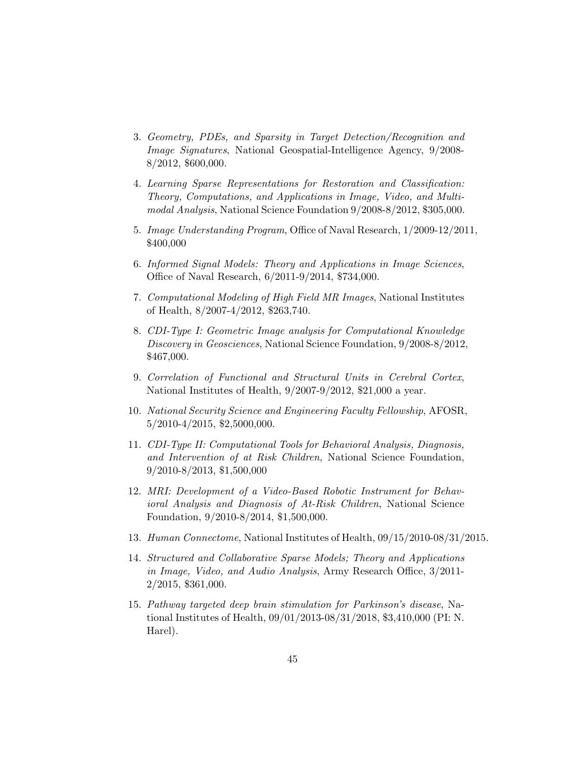- 3. Geometry, PDEs, and Sparsity in Target Detection/Recognition and Image Signatures, National Geospatial-Intelligence Agency, 9/2008- 8/2012, \$600,000.
- 4. Learning Sparse Representations for Restoration and Classification: Theory, Computations, and Applications in Image, Video, and Multimodal Analysis, National Science Foundation 9/2008-8/2012, \$305,000.
- 5. Image Understanding Program, Office of Naval Research, 1/2009-12/2011, \$400,000
- 6. Informed Signal Models: Theory and Applications in Image Sciences, Office of Naval Research, 6/2011-9/2014, \$734,000.
- 7. Computational Modeling of High Field MR Images, National Institutes of Health, 8/2007-4/2012, \$263,740.
- 8. CDI-Type I: Geometric Image analysis for Computational Knowledge Discovery in Geosciences, National Science Foundation, 9/2008-8/2012, \$467,000.
- 9. Correlation of Functional and Structural Units in Cerebral Cortex, National Institutes of Health, 9/2007-9/2012, \$21,000 a year.
- 10. National Security Science and Engineering Faculty Fellowship, AFOSR, 5/2010-4/2015, \$2,5000,000.
- 11. CDI-Type II: Computational Tools for Behavioral Analysis, Diagnosis, and Intervention of at Risk Children, National Science Foundation, 9/2010-8/2013, \$1,500,000
- 12. MRI: Development of a Video-Based Robotic Instrument for Behavioral Analysis and Diagnosis of At-Risk Children, National Science Foundation, 9/2010-8/2014, \$1,500,000.
- 13. Human Connectome, National Institutes of Health, 09/15/2010-08/31/2015.
- 14. Structured and Collaborative Sparse Models; Theory and Applications in Image, Video, and Audio Analysis, Army Research Office, 3/2011- 2/2015, \$361,000.
- 15. Pathway targeted deep brain stimulation for Parkinson's disease, National Institutes of Health, 09/01/2013-08/31/2018, \$3,410,000 (PI: N. Harel).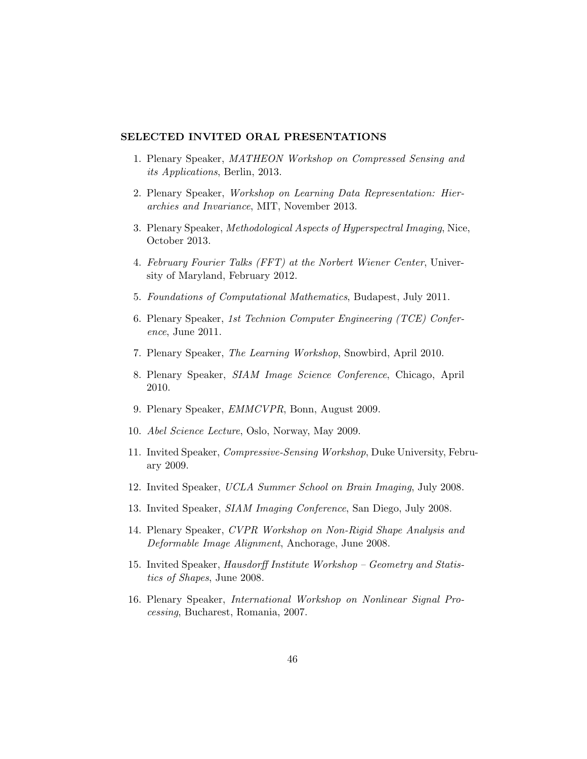## SELECTED INVITED ORAL PRESENTATIONS

- 1. Plenary Speaker, MATHEON Workshop on Compressed Sensing and its Applications, Berlin, 2013.
- 2. Plenary Speaker, Workshop on Learning Data Representation: Hierarchies and Invariance, MIT, November 2013.
- 3. Plenary Speaker, Methodological Aspects of Hyperspectral Imaging, Nice, October 2013.
- 4. February Fourier Talks (FFT) at the Norbert Wiener Center, University of Maryland, February 2012.
- 5. Foundations of Computational Mathematics, Budapest, July 2011.
- 6. Plenary Speaker, 1st Technion Computer Engineering (TCE) Conference, June 2011.
- 7. Plenary Speaker, The Learning Workshop, Snowbird, April 2010.
- 8. Plenary Speaker, SIAM Image Science Conference, Chicago, April 2010.
- 9. Plenary Speaker, EMMCVPR, Bonn, August 2009.
- 10. Abel Science Lecture, Oslo, Norway, May 2009.
- 11. Invited Speaker, Compressive-Sensing Workshop, Duke University, February 2009.
- 12. Invited Speaker, UCLA Summer School on Brain Imaging, July 2008.
- 13. Invited Speaker, SIAM Imaging Conference, San Diego, July 2008.
- 14. Plenary Speaker, CVPR Workshop on Non-Rigid Shape Analysis and Deformable Image Alignment, Anchorage, June 2008.
- 15. Invited Speaker, Hausdorff Institute Workshop Geometry and Statistics of Shapes, June 2008.
- 16. Plenary Speaker, International Workshop on Nonlinear Signal Processing, Bucharest, Romania, 2007.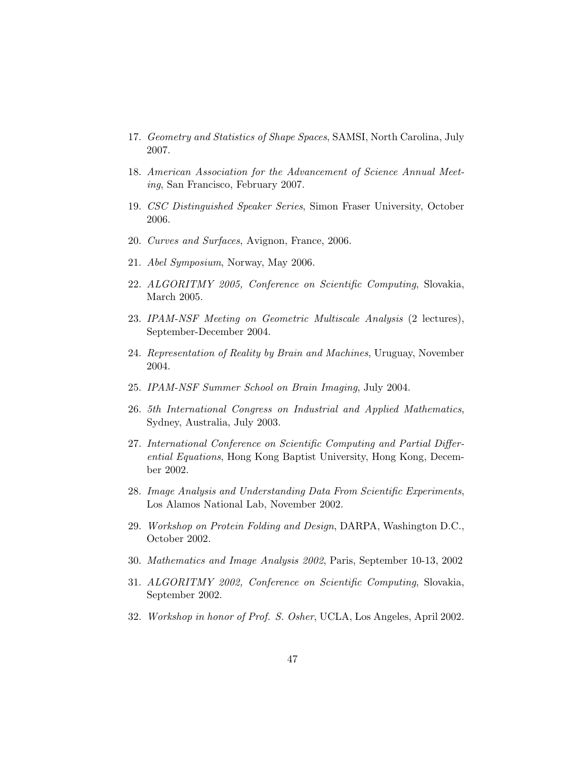- 17. Geometry and Statistics of Shape Spaces, SAMSI, North Carolina, July 2007.
- 18. American Association for the Advancement of Science Annual Meeting, San Francisco, February 2007.
- 19. CSC Distinguished Speaker Series, Simon Fraser University, October 2006.
- 20. Curves and Surfaces, Avignon, France, 2006.
- 21. Abel Symposium, Norway, May 2006.
- 22. ALGORITMY 2005, Conference on Scientific Computing, Slovakia, March 2005.
- 23. IPAM-NSF Meeting on Geometric Multiscale Analysis (2 lectures), September-December 2004.
- 24. Representation of Reality by Brain and Machines, Uruguay, November 2004.
- 25. IPAM-NSF Summer School on Brain Imaging, July 2004.
- 26. 5th International Congress on Industrial and Applied Mathematics, Sydney, Australia, July 2003.
- 27. International Conference on Scientific Computing and Partial Differential Equations, Hong Kong Baptist University, Hong Kong, December 2002.
- 28. Image Analysis and Understanding Data From Scientific Experiments, Los Alamos National Lab, November 2002.
- 29. Workshop on Protein Folding and Design, DARPA, Washington D.C., October 2002.
- 30. Mathematics and Image Analysis 2002, Paris, September 10-13, 2002
- 31. ALGORITMY 2002, Conference on Scientific Computing, Slovakia, September 2002.
- 32. Workshop in honor of Prof. S. Osher, UCLA, Los Angeles, April 2002.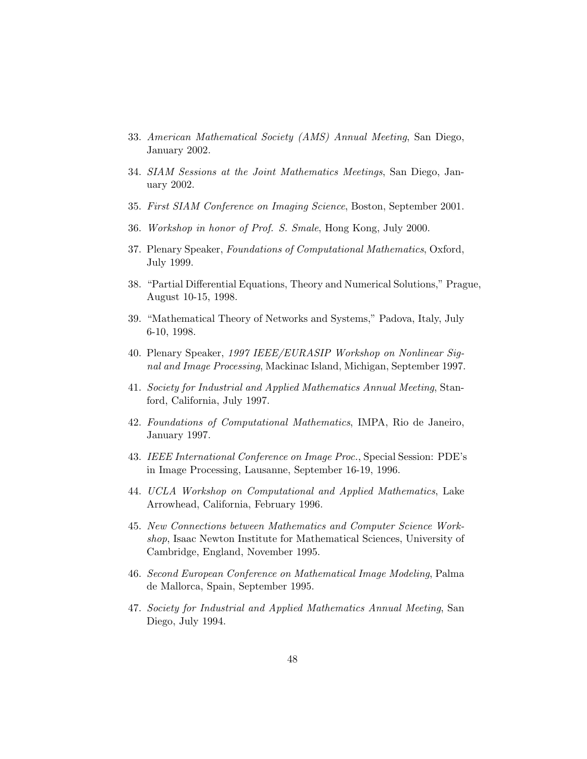- 33. American Mathematical Society (AMS) Annual Meeting, San Diego, January 2002.
- 34. SIAM Sessions at the Joint Mathematics Meetings, San Diego, January 2002.
- 35. First SIAM Conference on Imaging Science, Boston, September 2001.
- 36. Workshop in honor of Prof. S. Smale, Hong Kong, July 2000.
- 37. Plenary Speaker, Foundations of Computational Mathematics, Oxford, July 1999.
- 38. "Partial Differential Equations, Theory and Numerical Solutions," Prague, August 10-15, 1998.
- 39. "Mathematical Theory of Networks and Systems," Padova, Italy, July 6-10, 1998.
- 40. Plenary Speaker, 1997 IEEE/EURASIP Workshop on Nonlinear Signal and Image Processing, Mackinac Island, Michigan, September 1997.
- 41. Society for Industrial and Applied Mathematics Annual Meeting, Stanford, California, July 1997.
- 42. Foundations of Computational Mathematics, IMPA, Rio de Janeiro, January 1997.
- 43. IEEE International Conference on Image Proc., Special Session: PDE's in Image Processing, Lausanne, September 16-19, 1996.
- 44. UCLA Workshop on Computational and Applied Mathematics, Lake Arrowhead, California, February 1996.
- 45. New Connections between Mathematics and Computer Science Workshop, Isaac Newton Institute for Mathematical Sciences, University of Cambridge, England, November 1995.
- 46. Second European Conference on Mathematical Image Modeling, Palma de Mallorca, Spain, September 1995.
- 47. Society for Industrial and Applied Mathematics Annual Meeting, San Diego, July 1994.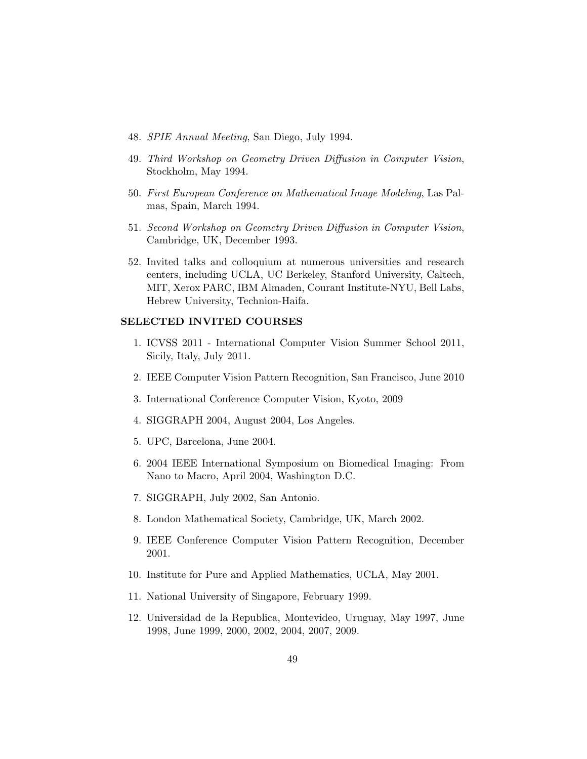- 48. SPIE Annual Meeting, San Diego, July 1994.
- 49. Third Workshop on Geometry Driven Diffusion in Computer Vision, Stockholm, May 1994.
- 50. First European Conference on Mathematical Image Modeling, Las Palmas, Spain, March 1994.
- 51. Second Workshop on Geometry Driven Diffusion in Computer Vision, Cambridge, UK, December 1993.
- 52. Invited talks and colloquium at numerous universities and research centers, including UCLA, UC Berkeley, Stanford University, Caltech, MIT, Xerox PARC, IBM Almaden, Courant Institute-NYU, Bell Labs, Hebrew University, Technion-Haifa.

## SELECTED INVITED COURSES

- 1. ICVSS 2011 International Computer Vision Summer School 2011, Sicily, Italy, July 2011.
- 2. IEEE Computer Vision Pattern Recognition, San Francisco, June 2010
- 3. International Conference Computer Vision, Kyoto, 2009
- 4. SIGGRAPH 2004, August 2004, Los Angeles.
- 5. UPC, Barcelona, June 2004.
- 6. 2004 IEEE International Symposium on Biomedical Imaging: From Nano to Macro, April 2004, Washington D.C.
- 7. SIGGRAPH, July 2002, San Antonio.
- 8. London Mathematical Society, Cambridge, UK, March 2002.
- 9. IEEE Conference Computer Vision Pattern Recognition, December 2001.
- 10. Institute for Pure and Applied Mathematics, UCLA, May 2001.
- 11. National University of Singapore, February 1999.
- 12. Universidad de la Republica, Montevideo, Uruguay, May 1997, June 1998, June 1999, 2000, 2002, 2004, 2007, 2009.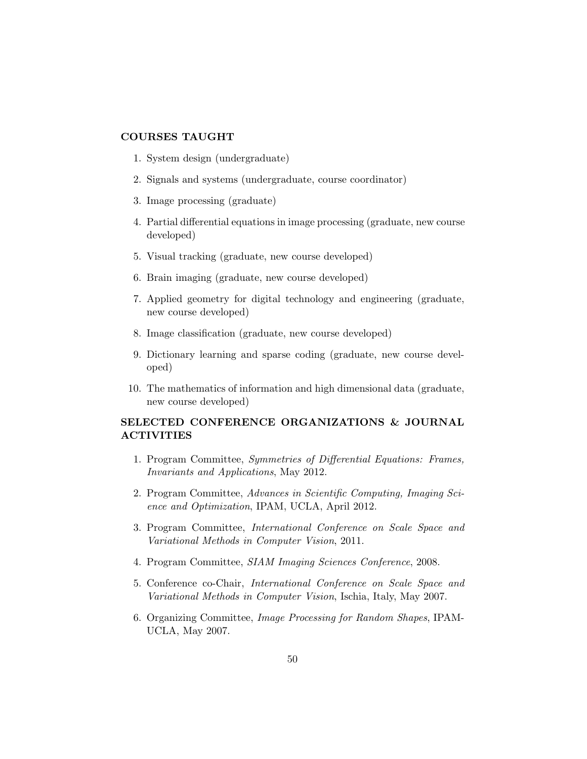# COURSES TAUGHT

- 1. System design (undergraduate)
- 2. Signals and systems (undergraduate, course coordinator)
- 3. Image processing (graduate)
- 4. Partial differential equations in image processing (graduate, new course developed)
- 5. Visual tracking (graduate, new course developed)
- 6. Brain imaging (graduate, new course developed)
- 7. Applied geometry for digital technology and engineering (graduate, new course developed)
- 8. Image classification (graduate, new course developed)
- 9. Dictionary learning and sparse coding (graduate, new course developed)
- 10. The mathematics of information and high dimensional data (graduate, new course developed)

# SELECTED CONFERENCE ORGANIZATIONS & JOURNAL ACTIVITIES

- 1. Program Committee, Symmetries of Differential Equations: Frames, Invariants and Applications, May 2012.
- 2. Program Committee, Advances in Scientific Computing, Imaging Science and Optimization, IPAM, UCLA, April 2012.
- 3. Program Committee, International Conference on Scale Space and Variational Methods in Computer Vision, 2011.
- 4. Program Committee, SIAM Imaging Sciences Conference, 2008.
- 5. Conference co-Chair, International Conference on Scale Space and Variational Methods in Computer Vision, Ischia, Italy, May 2007.
- 6. Organizing Committee, Image Processing for Random Shapes, IPAM-UCLA, May 2007.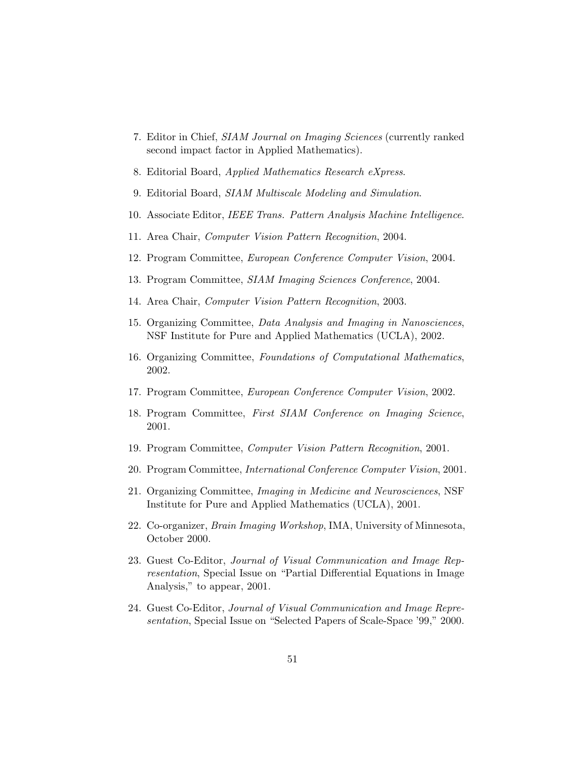- 7. Editor in Chief, SIAM Journal on Imaging Sciences (currently ranked second impact factor in Applied Mathematics).
- 8. Editorial Board, Applied Mathematics Research eXpress.
- 9. Editorial Board, SIAM Multiscale Modeling and Simulation.
- 10. Associate Editor, IEEE Trans. Pattern Analysis Machine Intelligence.
- 11. Area Chair, Computer Vision Pattern Recognition, 2004.
- 12. Program Committee, European Conference Computer Vision, 2004.
- 13. Program Committee, SIAM Imaging Sciences Conference, 2004.
- 14. Area Chair, Computer Vision Pattern Recognition, 2003.
- 15. Organizing Committee, Data Analysis and Imaging in Nanosciences, NSF Institute for Pure and Applied Mathematics (UCLA), 2002.
- 16. Organizing Committee, Foundations of Computational Mathematics, 2002.
- 17. Program Committee, European Conference Computer Vision, 2002.
- 18. Program Committee, First SIAM Conference on Imaging Science, 2001.
- 19. Program Committee, Computer Vision Pattern Recognition, 2001.
- 20. Program Committee, International Conference Computer Vision, 2001.
- 21. Organizing Committee, Imaging in Medicine and Neurosciences, NSF Institute for Pure and Applied Mathematics (UCLA), 2001.
- 22. Co-organizer, Brain Imaging Workshop, IMA, University of Minnesota, October 2000.
- 23. Guest Co-Editor, Journal of Visual Communication and Image Representation, Special Issue on "Partial Differential Equations in Image Analysis," to appear, 2001.
- 24. Guest Co-Editor, Journal of Visual Communication and Image Representation, Special Issue on "Selected Papers of Scale-Space '99," 2000.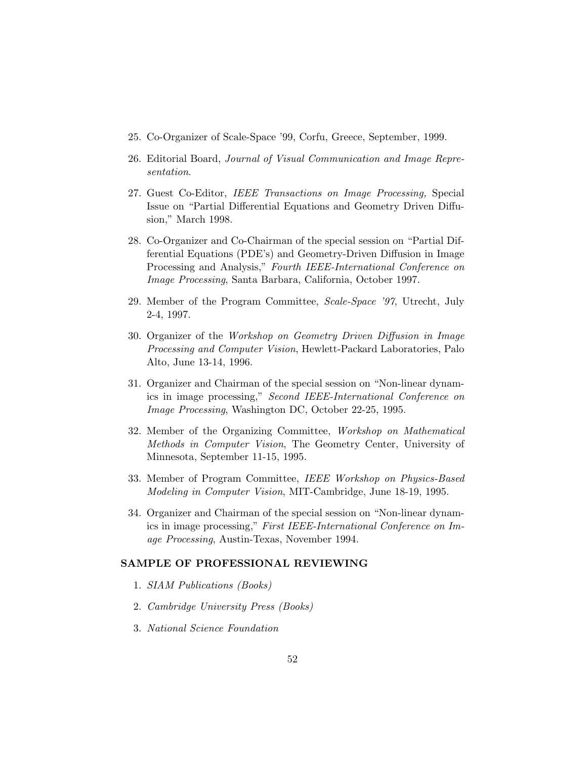- 25. Co-Organizer of Scale-Space '99, Corfu, Greece, September, 1999.
- 26. Editorial Board, Journal of Visual Communication and Image Representation.
- 27. Guest Co-Editor, IEEE Transactions on Image Processing, Special Issue on "Partial Differential Equations and Geometry Driven Diffusion," March 1998.
- 28. Co-Organizer and Co-Chairman of the special session on "Partial Differential Equations (PDE's) and Geometry-Driven Diffusion in Image Processing and Analysis," Fourth IEEE-International Conference on Image Processing, Santa Barbara, California, October 1997.
- 29. Member of the Program Committee, Scale-Space '97, Utrecht, July 2-4, 1997.
- 30. Organizer of the Workshop on Geometry Driven Diffusion in Image Processing and Computer Vision, Hewlett-Packard Laboratories, Palo Alto, June 13-14, 1996.
- 31. Organizer and Chairman of the special session on "Non-linear dynamics in image processing," Second IEEE-International Conference on Image Processing, Washington DC, October 22-25, 1995.
- 32. Member of the Organizing Committee, Workshop on Mathematical Methods in Computer Vision, The Geometry Center, University of Minnesota, September 11-15, 1995.
- 33. Member of Program Committee, IEEE Workshop on Physics-Based Modeling in Computer Vision, MIT-Cambridge, June 18-19, 1995.
- 34. Organizer and Chairman of the special session on "Non-linear dynamics in image processing," First IEEE-International Conference on Image Processing, Austin-Texas, November 1994.

### SAMPLE OF PROFESSIONAL REVIEWING

- 1. SIAM Publications (Books)
- 2. Cambridge University Press (Books)
- 3. National Science Foundation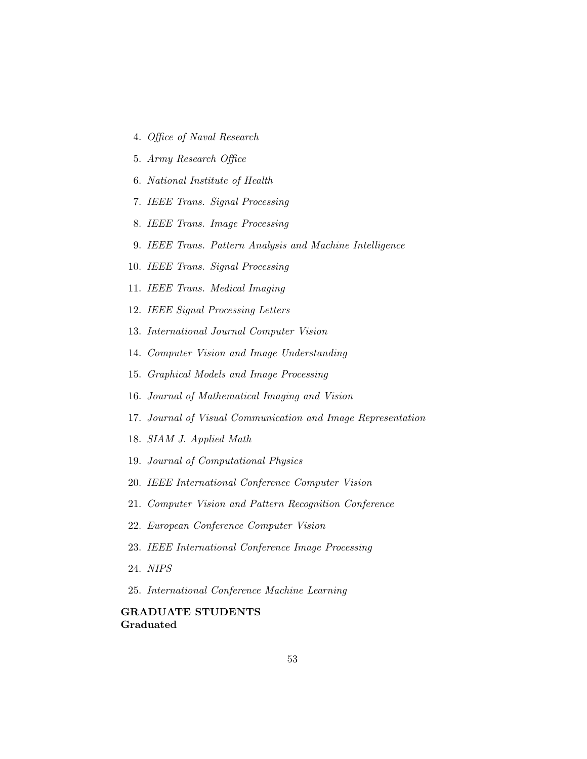- 4. Office of Naval Research
- 5. Army Research Office
- 6. National Institute of Health
- 7. IEEE Trans. Signal Processing
- 8. IEEE Trans. Image Processing
- 9. IEEE Trans. Pattern Analysis and Machine Intelligence
- 10. IEEE Trans. Signal Processing
- 11. IEEE Trans. Medical Imaging
- 12. IEEE Signal Processing Letters
- 13. International Journal Computer Vision
- 14. Computer Vision and Image Understanding
- 15. Graphical Models and Image Processing
- 16. Journal of Mathematical Imaging and Vision
- 17. Journal of Visual Communication and Image Representation
- 18. SIAM J. Applied Math
- 19. Journal of Computational Physics
- 20. IEEE International Conference Computer Vision
- 21. Computer Vision and Pattern Recognition Conference
- 22. European Conference Computer Vision
- 23. IEEE International Conference Image Processing
- 24. NIPS
- 25. International Conference Machine Learning

# GRADUATE STUDENTS Graduated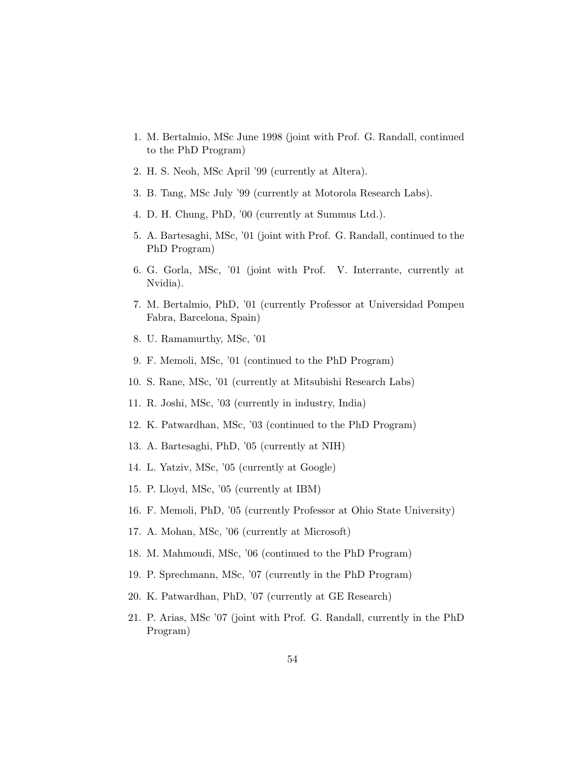- 1. M. Bertalmio, MSc June 1998 (joint with Prof. G. Randall, continued to the PhD Program)
- 2. H. S. Neoh, MSc April '99 (currently at Altera).
- 3. B. Tang, MSc July '99 (currently at Motorola Research Labs).
- 4. D. H. Chung, PhD, '00 (currently at Summus Ltd.).
- 5. A. Bartesaghi, MSc, '01 (joint with Prof. G. Randall, continued to the PhD Program)
- 6. G. Gorla, MSc, '01 (joint with Prof. V. Interrante, currently at Nvidia).
- 7. M. Bertalmio, PhD, '01 (currently Professor at Universidad Pompeu Fabra, Barcelona, Spain)
- 8. U. Ramamurthy, MSc, '01
- 9. F. Memoli, MSc, '01 (continued to the PhD Program)
- 10. S. Rane, MSc, '01 (currently at Mitsubishi Research Labs)
- 11. R. Joshi, MSc, '03 (currently in industry, India)
- 12. K. Patwardhan, MSc, '03 (continued to the PhD Program)
- 13. A. Bartesaghi, PhD, '05 (currently at NIH)
- 14. L. Yatziv, MSc, '05 (currently at Google)
- 15. P. Lloyd, MSc, '05 (currently at IBM)
- 16. F. Memoli, PhD, '05 (currently Professor at Ohio State University)
- 17. A. Mohan, MSc, '06 (currently at Microsoft)
- 18. M. Mahmoudi, MSc, '06 (continued to the PhD Program)
- 19. P. Sprechmann, MSc, '07 (currently in the PhD Program)
- 20. K. Patwardhan, PhD, '07 (currently at GE Research)
- 21. P. Arias, MSc '07 (joint with Prof. G. Randall, currently in the PhD Program)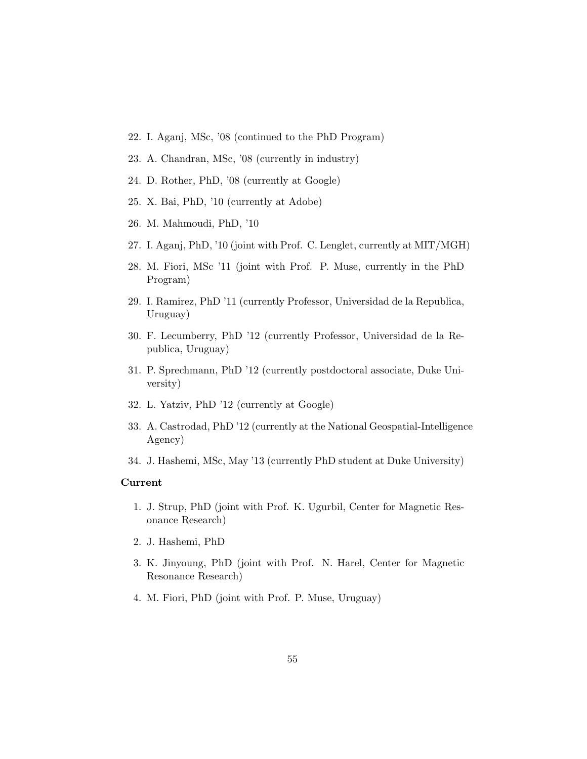- 22. I. Aganj, MSc, '08 (continued to the PhD Program)
- 23. A. Chandran, MSc, '08 (currently in industry)
- 24. D. Rother, PhD, '08 (currently at Google)
- 25. X. Bai, PhD, '10 (currently at Adobe)
- 26. M. Mahmoudi, PhD, '10
- 27. I. Aganj, PhD, '10 (joint with Prof. C. Lenglet, currently at MIT/MGH)
- 28. M. Fiori, MSc '11 (joint with Prof. P. Muse, currently in the PhD Program)
- 29. I. Ramirez, PhD '11 (currently Professor, Universidad de la Republica, Uruguay)
- 30. F. Lecumberry, PhD '12 (currently Professor, Universidad de la Republica, Uruguay)
- 31. P. Sprechmann, PhD '12 (currently postdoctoral associate, Duke University)
- 32. L. Yatziv, PhD '12 (currently at Google)
- 33. A. Castrodad, PhD '12 (currently at the National Geospatial-Intelligence Agency)
- 34. J. Hashemi, MSc, May '13 (currently PhD student at Duke University)

#### Current

- 1. J. Strup, PhD (joint with Prof. K. Ugurbil, Center for Magnetic Resonance Research)
- 2. J. Hashemi, PhD
- 3. K. Jinyoung, PhD (joint with Prof. N. Harel, Center for Magnetic Resonance Research)
- 4. M. Fiori, PhD (joint with Prof. P. Muse, Uruguay)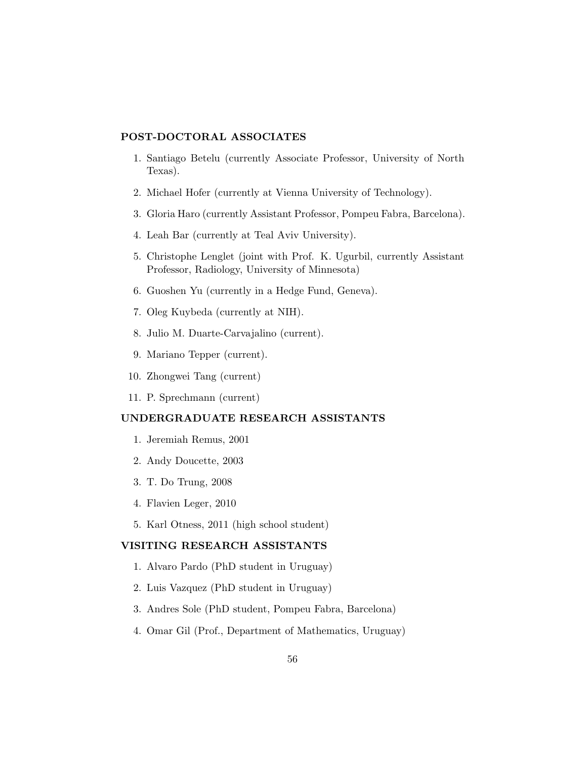## POST-DOCTORAL ASSOCIATES

- 1. Santiago Betelu (currently Associate Professor, University of North Texas).
- 2. Michael Hofer (currently at Vienna University of Technology).
- 3. Gloria Haro (currently Assistant Professor, Pompeu Fabra, Barcelona).
- 4. Leah Bar (currently at Teal Aviv University).
- 5. Christophe Lenglet (joint with Prof. K. Ugurbil, currently Assistant Professor, Radiology, University of Minnesota)
- 6. Guoshen Yu (currently in a Hedge Fund, Geneva).
- 7. Oleg Kuybeda (currently at NIH).
- 8. Julio M. Duarte-Carvajalino (current).
- 9. Mariano Tepper (current).
- 10. Zhongwei Tang (current)
- 11. P. Sprechmann (current)

# UNDERGRADUATE RESEARCH ASSISTANTS

- 1. Jeremiah Remus, 2001
- 2. Andy Doucette, 2003
- 3. T. Do Trung, 2008
- 4. Flavien Leger, 2010
- 5. Karl Otness, 2011 (high school student)

## VISITING RESEARCH ASSISTANTS

- 1. Alvaro Pardo (PhD student in Uruguay)
- 2. Luis Vazquez (PhD student in Uruguay)
- 3. Andres Sole (PhD student, Pompeu Fabra, Barcelona)
- 4. Omar Gil (Prof., Department of Mathematics, Uruguay)